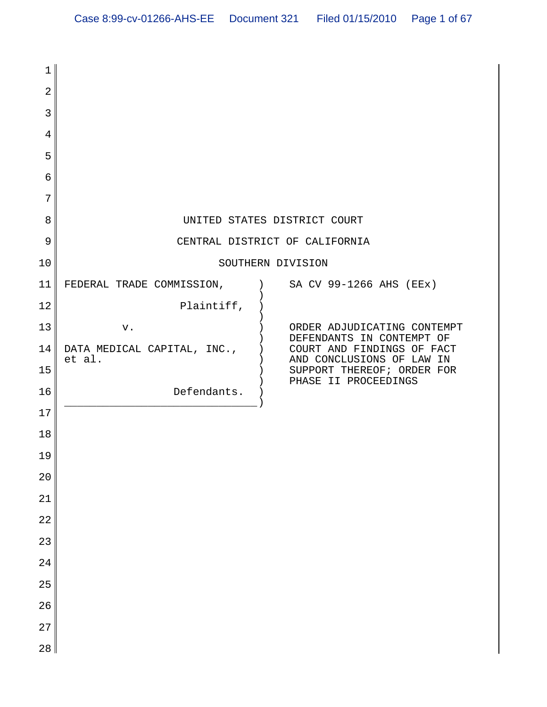| $\mathbf{1}$   |                                       |                                                          |
|----------------|---------------------------------------|----------------------------------------------------------|
| $\overline{2}$ |                                       |                                                          |
| 3              |                                       |                                                          |
| 4              |                                       |                                                          |
| 5              |                                       |                                                          |
| 6              |                                       |                                                          |
| 7              |                                       |                                                          |
| 8              |                                       | UNITED STATES DISTRICT COURT                             |
| 9              |                                       | CENTRAL DISTRICT OF CALIFORNIA                           |
| 10             |                                       | SOUTHERN DIVISION                                        |
| 11             | FEDERAL TRADE COMMISSION,             | SA CV 99-1266 AHS (EEx)                                  |
| 12             | Plaintiff,                            |                                                          |
| 13             | v.                                    | ORDER ADJUDICATING CONTEMPT<br>DEFENDANTS IN CONTEMPT OF |
| 14             | DATA MEDICAL CAPITAL, INC.,<br>et al. | COURT AND FINDINGS OF FACT<br>AND CONCLUSIONS OF LAW IN  |
| 15             |                                       | SUPPORT THEREOF; ORDER FOR<br>PHASE II PROCEEDINGS       |
| 16             | Defendants.                           |                                                          |
| 17             |                                       |                                                          |
| 18             |                                       |                                                          |
| 19             |                                       |                                                          |
| 20             |                                       |                                                          |
| 21             |                                       |                                                          |
| 22             |                                       |                                                          |
| 23             |                                       |                                                          |
| 24             |                                       |                                                          |
| 25             |                                       |                                                          |
| 26             |                                       |                                                          |
| 27             |                                       |                                                          |
| 28             |                                       |                                                          |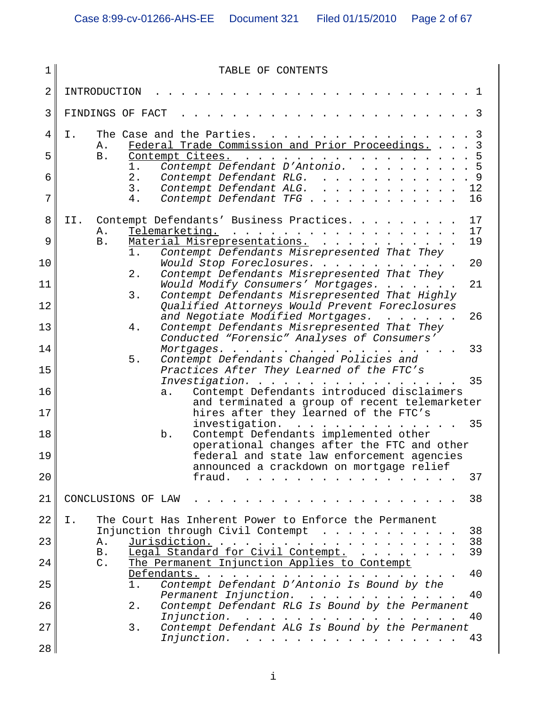| 1  | TABLE OF CONTENTS                                                                                                                                                                                                                                                                                                                                                                                                                                                                                                                                                    |
|----|----------------------------------------------------------------------------------------------------------------------------------------------------------------------------------------------------------------------------------------------------------------------------------------------------------------------------------------------------------------------------------------------------------------------------------------------------------------------------------------------------------------------------------------------------------------------|
| 2  | INTRODUCTION                                                                                                                                                                                                                                                                                                                                                                                                                                                                                                                                                         |
| 3  | FINDINGS OF FACT                                                                                                                                                                                                                                                                                                                                                                                                                                                                                                                                                     |
| 4  | The Case and the Parties.<br>Ι.<br>3                                                                                                                                                                                                                                                                                                                                                                                                                                                                                                                                 |
| 5  | Federal Trade Commission and Prior Proceedings.<br>$\mathsf{3}$<br>Α.<br>Contempt Citees.<br><b>B</b> .                                                                                                                                                                                                                                                                                                                                                                                                                                                              |
| 6  | Contempt Defendant D'Antonio.<br>1.<br>2.<br>Contempt Defendant RLG.                                                                                                                                                                                                                                                                                                                                                                                                                                                                                                 |
| 7  | Contempt Defendant ALG.<br>3.<br>12<br>Contempt Defendant TFG<br>16<br>4.                                                                                                                                                                                                                                                                                                                                                                                                                                                                                            |
| 8  | Contempt Defendants' Business Practices.<br>17<br>II.                                                                                                                                                                                                                                                                                                                                                                                                                                                                                                                |
| 9  | 17<br>Telemarketing.<br>Α.<br>Material Misrepresentations.<br>19<br>B.                                                                                                                                                                                                                                                                                                                                                                                                                                                                                               |
| 10 | Contempt Defendants Misrepresented That They<br>1.<br>20<br>Would Stop Foreclosures.                                                                                                                                                                                                                                                                                                                                                                                                                                                                                 |
| 11 | Contempt Defendants Misrepresented That They<br>2.<br>21<br>Would Modify Consumers' Mortgages.                                                                                                                                                                                                                                                                                                                                                                                                                                                                       |
| 12 | Contempt Defendants Misrepresented That Highly<br>3.<br>Qualified Attorneys Would Prevent Foreclosures                                                                                                                                                                                                                                                                                                                                                                                                                                                               |
| 13 | and Negotiate Modified Mortgages.<br>26<br>Contempt Defendants Misrepresented That They<br>4.                                                                                                                                                                                                                                                                                                                                                                                                                                                                        |
| 14 | Conducted "Forensic" Analyses of Consumers'<br>33<br>Mortgages.<br>$\sim$ $\sim$ $\sim$ $\sim$ $\sim$ $\sim$ $\sim$ $\sim$                                                                                                                                                                                                                                                                                                                                                                                                                                           |
| 15 | Contempt Defendants Changed Policies and<br>$5.$<br>Practices After They Learned of the FTC's                                                                                                                                                                                                                                                                                                                                                                                                                                                                        |
| 16 | 35<br>Investigation.<br>Contempt Defendants introduced disclaimers<br>a.                                                                                                                                                                                                                                                                                                                                                                                                                                                                                             |
| 17 | and terminated a group of recent telemarketer<br>hires after they learned of the FTC's                                                                                                                                                                                                                                                                                                                                                                                                                                                                               |
| 18 | 35<br>investigation.<br>$\frac{1}{2}$<br>Contempt Defendants implemented other<br>b.                                                                                                                                                                                                                                                                                                                                                                                                                                                                                 |
| 19 | operational changes after the FTC and other<br>federal and state law enforcement agencies                                                                                                                                                                                                                                                                                                                                                                                                                                                                            |
| 20 | announced a crackdown on mortgage relief<br>37<br>fraud.<br>$\mathbf{r}$ . The state of the state of the state $\mathbf{r}$                                                                                                                                                                                                                                                                                                                                                                                                                                          |
| 21 | 38<br>CONCLUSIONS OF LAW                                                                                                                                                                                                                                                                                                                                                                                                                                                                                                                                             |
| 22 | I.<br>The Court Has Inherent Power to Enforce the Permanent                                                                                                                                                                                                                                                                                                                                                                                                                                                                                                          |
|    | Injunction through Civil Contempt<br>38                                                                                                                                                                                                                                                                                                                                                                                                                                                                                                                              |
| 23 | Jurisdiction.<br>38<br>Α.<br>Legal Standard for Civil Contempt.<br>39<br>B.                                                                                                                                                                                                                                                                                                                                                                                                                                                                                          |
| 24 | The Permanent Injunction Applies to Contempt<br>$C$ .<br>Defendants.<br>40                                                                                                                                                                                                                                                                                                                                                                                                                                                                                           |
| 25 | Contempt Defendant D'Antonio Is Bound by the<br>$1$ .<br>Permanent Injunction.<br>40                                                                                                                                                                                                                                                                                                                                                                                                                                                                                 |
| 26 | Contempt Defendant RLG Is Bound by the Permanent<br>2.<br>Injunction.<br>40<br>$\mathbf{1} \quad \mathbf{1} \quad \mathbf{1} \quad \mathbf{1} \quad \mathbf{1} \quad \mathbf{1} \quad \mathbf{1} \quad \mathbf{1} \quad \mathbf{1} \quad \mathbf{1} \quad \mathbf{1} \quad \mathbf{1} \quad \mathbf{1} \quad \mathbf{1} \quad \mathbf{1} \quad \mathbf{1} \quad \mathbf{1} \quad \mathbf{1} \quad \mathbf{1} \quad \mathbf{1} \quad \mathbf{1} \quad \mathbf{1} \quad \mathbf{1} \quad \mathbf{1} \quad \mathbf{1} \quad \mathbf{1} \quad \mathbf{1} \quad \mathbf{$ |
| 27 | Contempt Defendant ALG Is Bound by the Permanent<br>3.<br>Injunction.<br>43                                                                                                                                                                                                                                                                                                                                                                                                                                                                                          |
| 28 |                                                                                                                                                                                                                                                                                                                                                                                                                                                                                                                                                                      |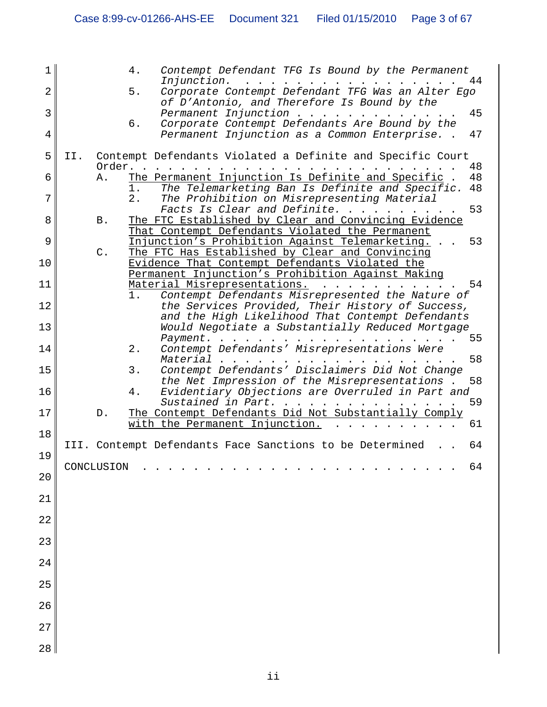| 1  | Contempt Defendant TFG Is Bound by the Permanent<br>4.                                                                       |
|----|------------------------------------------------------------------------------------------------------------------------------|
| 2  | Injunction.<br>44<br>Corporate Contempt Defendant TFG Was an Alter Ego<br>5.<br>of D'Antonio, and Therefore Is Bound by the  |
| 3  | Permanent Injunction<br>45                                                                                                   |
| 4  | Corporate Contempt Defendants Are Bound by the<br>б.<br>Permanent Injunction as a Common Enterprise. .<br>47                 |
| 5  | Contempt Defendants Violated a Definite and Specific Court<br>II.<br>Order.<br>48                                            |
| 6  | The Permanent Injunction Is Definite and Specific<br>48<br>Α.<br>The Telemarketing Ban Is Definite and Specific.<br>1.<br>48 |
| 7  | The Prohibition on Misrepresenting Material<br>$2$ .<br>Facts Is Clear and Definite. .<br>53                                 |
| 8  | The FTC Established by Clear and Convincing Evidence<br>Β.                                                                   |
| 9  | That Contempt Defendants Violated the Permanent<br>Injunction's Prohibition Against Telemarketing.<br>53                     |
| 10 | The FTC Has Established by Clear and Convincing<br>$C$ .<br>Evidence That Contempt Defendants Violated the                   |
| 11 | Permanent Injunction's Prohibition Against Making<br>Material Misrepresentations.<br>54                                      |
| 12 | Contempt Defendants Misrepresented the Nature of<br>1.<br>the Services Provided, Their History of Success,                   |
|    | and the High Likelihood That Contempt Defendants                                                                             |
| 13 | Would Negotiate a Substantially Reduced Mortgage<br>55<br>Payment.                                                           |
| 14 | Contempt Defendants' Misrepresentations Were<br>2.<br>58<br>Material                                                         |
| 15 | 3.<br>Contempt Defendants' Disclaimers Did Not Change<br>the Net Impression of the Misrepresentations.<br>58                 |
| 16 | Evidentiary Objections are Overruled in Part and<br>4.<br>59<br>Sustained in Part.                                           |
| 17 | The Contempt Defendants Did Not Substantially Comply<br>D.<br>61<br>with the Permanent Injunction.                           |
| 18 |                                                                                                                              |
| 19 | III. Contempt Defendants Face Sanctions to be Determined<br>64                                                               |
| 20 | 64<br>CONCLUSION                                                                                                             |
| 21 |                                                                                                                              |
| 22 |                                                                                                                              |
| 23 |                                                                                                                              |
| 24 |                                                                                                                              |
| 25 |                                                                                                                              |
| 26 |                                                                                                                              |
| 27 |                                                                                                                              |
| 28 |                                                                                                                              |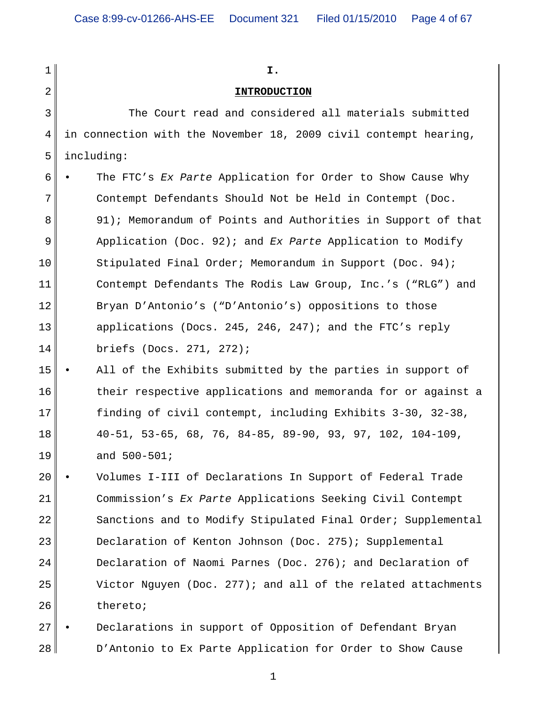1 2 3 4 5 6 7 8 9 10 11 12 13 14 15 16 17 18 19 20 21 22 23 24 25 26 27 **I. INTRODUCTION** The Court read and considered all materials submitted in connection with the November 18, 2009 civil contempt hearing, including: • The FTC's *Ex Parte* Application for Order to Show Cause Why Contempt Defendants Should Not be Held in Contempt (Doc. 91); Memorandum of Points and Authorities in Support of that Application (Doc. 92); and *Ex Parte* Application to Modify Stipulated Final Order; Memorandum in Support (Doc. 94); Contempt Defendants The Rodis Law Group, Inc.'s ("RLG") and Bryan D'Antonio's ("D'Antonio's) oppositions to those applications (Docs. 245, 246, 247); and the FTC's reply briefs (Docs. 271, 272); All of the Exhibits submitted by the parties in support of their respective applications and memoranda for or against a finding of civil contempt, including Exhibits 3-30, 32-38, 40-51, 53-65, 68, 76, 84-85, 89-90, 93, 97, 102, 104-109, and 500-501; • Volumes I-III of Declarations In Support of Federal Trade Commission's *Ex Parte* Applications Seeking Civil Contempt Sanctions and to Modify Stipulated Final Order; Supplemental Declaration of Kenton Johnson (Doc. 275); Supplemental Declaration of Naomi Parnes (Doc. 276); and Declaration of Victor Nguyen (Doc. 277); and all of the related attachments thereto; • Declarations in support of Opposition of Defendant Bryan

1

D'Antonio to Ex Parte Application for Order to Show Cause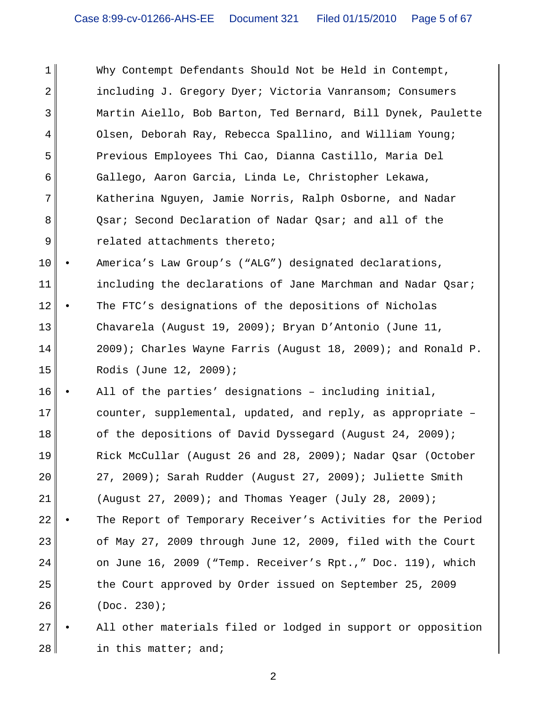1 2 3 4 5 6 7 8 9 Why Contempt Defendants Should Not be Held in Contempt, including J. Gregory Dyer; Victoria Vanransom; Consumers Martin Aiello, Bob Barton, Ted Bernard, Bill Dynek, Paulette Olsen, Deborah Ray, Rebecca Spallino, and William Young; Previous Employees Thi Cao, Dianna Castillo, Maria Del Gallego, Aaron Garcia, Linda Le, Christopher Lekawa, Katherina Nguyen, Jamie Norris, Ralph Osborne, and Nadar Qsar; Second Declaration of Nadar Qsar; and all of the related attachments thereto;

10 11 12 13 14 15 • America's Law Group's ("ALG") designated declarations, including the declarations of Jane Marchman and Nadar Qsar; The FTC's designations of the depositions of Nicholas Chavarela (August 19, 2009); Bryan D'Antonio (June 11, 2009); Charles Wayne Farris (August 18, 2009); and Ronald P. Rodis (June 12, 2009);

16 17 18 19 20 21 22 23 24 25 26 All of the parties' designations - including initial, counter, supplemental, updated, and reply, as appropriate – of the depositions of David Dyssegard (August 24, 2009); Rick McCullar (August 26 and 28, 2009); Nadar Qsar (October 27, 2009); Sarah Rudder (August 27, 2009); Juliette Smith (August 27, 2009); and Thomas Yeager (July 28, 2009); The Report of Temporary Receiver's Activities for the Period of May 27, 2009 through June 12, 2009, filed with the Court on June 16, 2009 ("Temp. Receiver's Rpt.," Doc. 119), which the Court approved by Order issued on September 25, 2009 (Doc. 230);

27 28 All other materials filed or lodged in support or opposition in this matter; and;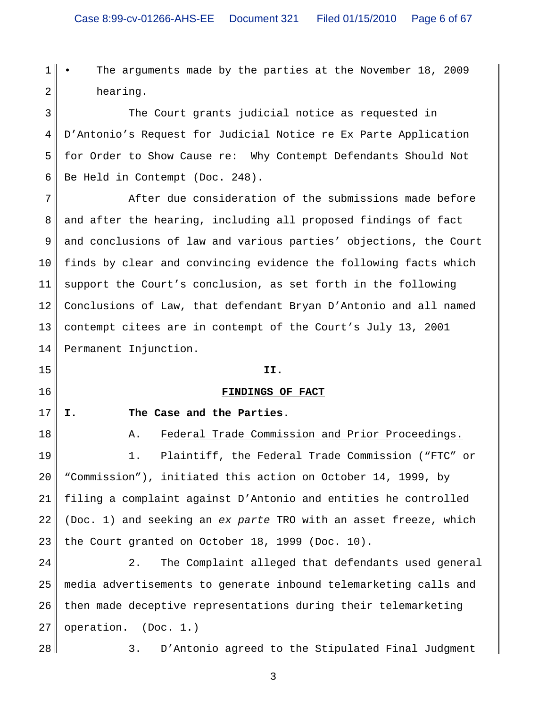2

1

The arguments made by the parties at the November 18, 2009 hearing.

3 4 5 6 The Court grants judicial notice as requested in D'Antonio's Request for Judicial Notice re Ex Parte Application for Order to Show Cause re: Why Contempt Defendants Should Not Be Held in Contempt (Doc. 248).

7 8 9 10 11 12 13 14 After due consideration of the submissions made before and after the hearing, including all proposed findings of fact and conclusions of law and various parties' objections, the Court finds by clear and convincing evidence the following facts which support the Court's conclusion, as set forth in the following Conclusions of Law, that defendant Bryan D'Antonio and all named contempt citees are in contempt of the Court's July 13, 2001 Permanent Injunction.

**II.**

**FINDINGS OF FACT**

15

16

17

**I. The Case and the Parties**.

18 19 20 21 22 23 A. Federal Trade Commission and Prior Proceedings. 1. Plaintiff, the Federal Trade Commission ("FTC" or "Commission"), initiated this action on October 14, 1999, by filing a complaint against D'Antonio and entities he controlled (Doc. 1) and seeking an *ex parte* TRO with an asset freeze, which the Court granted on October 18, 1999 (Doc. 10).

24 25 26 27 2. The Complaint alleged that defendants used general media advertisements to generate inbound telemarketing calls and then made deceptive representations during their telemarketing operation. (Doc. 1.)

28

3. D'Antonio agreed to the Stipulated Final Judgment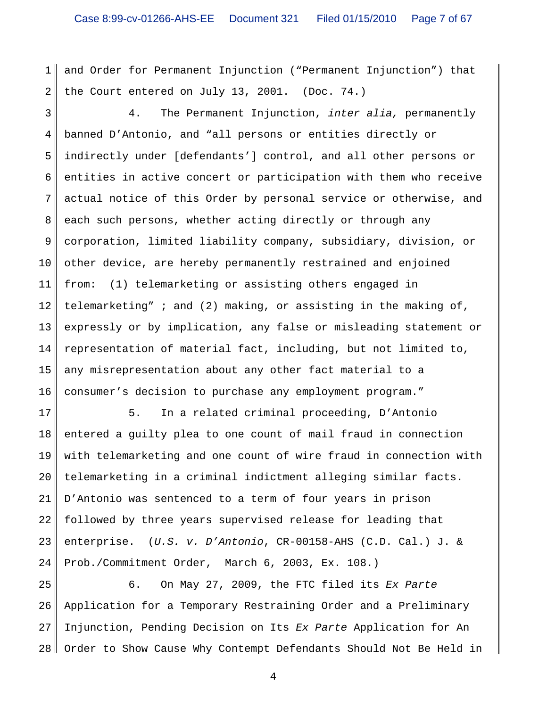1 2 and Order for Permanent Injunction ("Permanent Injunction") that the Court entered on July 13, 2001. (Doc. 74.)

3 4 5 6 7 8 9 10 11 12 13 14 15 16 4. The Permanent Injunction, *inter alia,* permanently banned D'Antonio, and "all persons or entities directly or indirectly under [defendants'] control, and all other persons or entities in active concert or participation with them who receive actual notice of this Order by personal service or otherwise, and each such persons, whether acting directly or through any corporation, limited liability company, subsidiary, division, or other device, are hereby permanently restrained and enjoined from: (1) telemarketing or assisting others engaged in telemarketing" ; and (2) making, or assisting in the making of, expressly or by implication, any false or misleading statement or representation of material fact, including, but not limited to, any misrepresentation about any other fact material to a consumer's decision to purchase any employment program."

17 18 19 20 21 22 23 24 5. In a related criminal proceeding, D'Antonio entered a guilty plea to one count of mail fraud in connection with telemarketing and one count of wire fraud in connection with telemarketing in a criminal indictment alleging similar facts. D'Antonio was sentenced to a term of four years in prison followed by three years supervised release for leading that enterprise. (*U.S. v. D'Antonio*, CR-00158-AHS (C.D. Cal.) J. & Prob./Commitment Order, March 6, 2003, Ex. 108.)

25 26 27 28 6. On May 27, 2009, the FTC filed its *Ex Parte* Application for a Temporary Restraining Order and a Preliminary Injunction, Pending Decision on Its *Ex Parte* Application for An Order to Show Cause Why Contempt Defendants Should Not Be Held in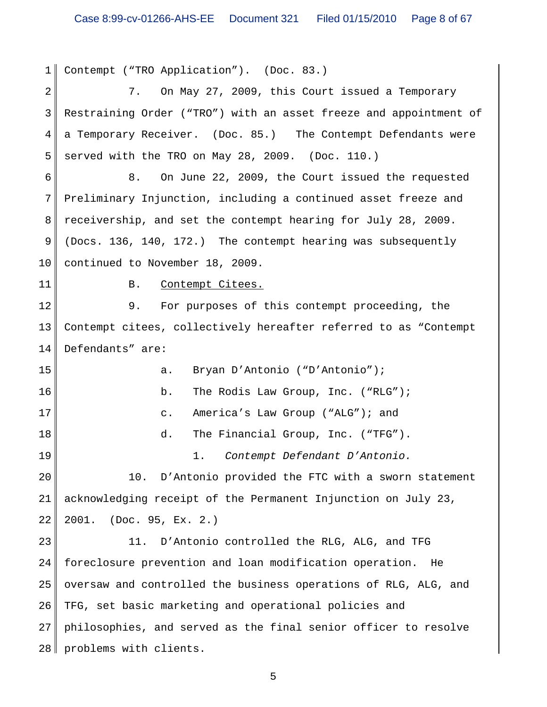1 2 3 4 5 6 7 8 9 10 11 12 13 14 15 16 17 18 19 20 21 22 23 24 25 26 27 28 Contempt ("TRO Application"). (Doc. 83.) 7. On May 27, 2009, this Court issued a Temporary Restraining Order ("TRO") with an asset freeze and appointment of a Temporary Receiver. (Doc. 85.) The Contempt Defendants were served with the TRO on May 28, 2009. (Doc. 110.) 8. On June 22, 2009, the Court issued the requested Preliminary Injunction, including a continued asset freeze and receivership, and set the contempt hearing for July 28, 2009. (Docs. 136, 140, 172.) The contempt hearing was subsequently continued to November 18, 2009. B. Contempt Citees. 9. For purposes of this contempt proceeding, the Contempt citees, collectively hereafter referred to as "Contempt Defendants" are: a. Bryan D'Antonio ("D'Antonio"); b. The Rodis Law Group, Inc. ("RLG"); c. America's Law Group ("ALG"); and d. The Financial Group, Inc. ("TFG"). 1. *Contempt Defendant D'Antonio.* 10. D'Antonio provided the FTC with a sworn statement acknowledging receipt of the Permanent Injunction on July 23, 2001. (Doc. 95, Ex. 2.) 11. D'Antonio controlled the RLG, ALG, and TFG foreclosure prevention and loan modification operation. He oversaw and controlled the business operations of RLG, ALG, and TFG, set basic marketing and operational policies and philosophies, and served as the final senior officer to resolve problems with clients.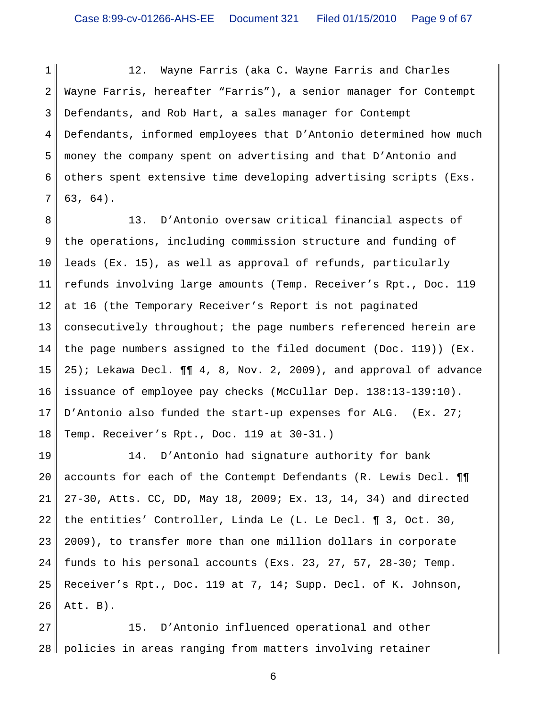1 2 3 4 5 6 7 12. Wayne Farris (aka C. Wayne Farris and Charles Wayne Farris, hereafter "Farris"), a senior manager for Contempt Defendants, and Rob Hart, a sales manager for Contempt Defendants, informed employees that D'Antonio determined how much money the company spent on advertising and that D'Antonio and others spent extensive time developing advertising scripts (Exs. 63, 64).

8 9 10 11 12 13 14 15 16 17 18 13. D'Antonio oversaw critical financial aspects of the operations, including commission structure and funding of leads (Ex. 15), as well as approval of refunds, particularly refunds involving large amounts (Temp. Receiver's Rpt., Doc. 119 at 16 (the Temporary Receiver's Report is not paginated consecutively throughout; the page numbers referenced herein are the page numbers assigned to the filed document (Doc. 119)) (Ex. 25); Lekawa Decl. ¶¶ 4, 8, Nov. 2, 2009), and approval of advance issuance of employee pay checks (McCullar Dep. 138:13-139:10). D'Antonio also funded the start-up expenses for ALG. (Ex. 27; Temp. Receiver's Rpt., Doc. 119 at 30-31.)

19 20 21 22 23 24 25 26 14. D'Antonio had signature authority for bank accounts for each of the Contempt Defendants (R. Lewis Decl. ¶¶ 27-30, Atts. CC, DD, May 18, 2009; Ex. 13, 14, 34) and directed the entities' Controller, Linda Le (L. Le Decl. ¶ 3, Oct. 30, 2009), to transfer more than one million dollars in corporate funds to his personal accounts (Exs. 23, 27, 57, 28-30; Temp. Receiver's Rpt., Doc. 119 at 7, 14; Supp. Decl. of K. Johnson, Att. B).

27 28 15. D'Antonio influenced operational and other policies in areas ranging from matters involving retainer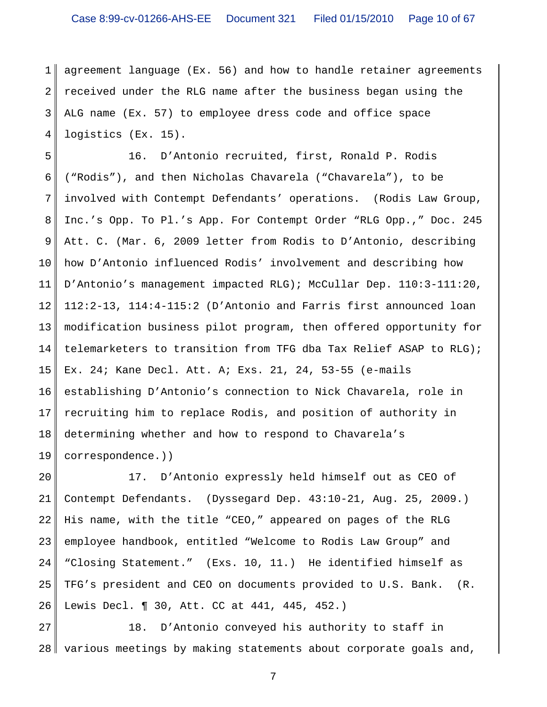1 2 3 4 agreement language (Ex. 56) and how to handle retainer agreements received under the RLG name after the business began using the ALG name (Ex. 57) to employee dress code and office space logistics (Ex. 15).

5 6 7 8 9 10 11 12 13 14 15 16 17 18 19 16. D'Antonio recruited, first, Ronald P. Rodis ("Rodis"), and then Nicholas Chavarela ("Chavarela"), to be involved with Contempt Defendants' operations. (Rodis Law Group, Inc.'s Opp. To Pl.'s App. For Contempt Order "RLG Opp.," Doc. 245 Att. C. (Mar. 6, 2009 letter from Rodis to D'Antonio, describing how D'Antonio influenced Rodis' involvement and describing how D'Antonio's management impacted RLG); McCullar Dep. 110:3-111:20, 112:2-13, 114:4-115:2 (D'Antonio and Farris first announced loan modification business pilot program, then offered opportunity for telemarketers to transition from TFG dba Tax Relief ASAP to RLG); Ex. 24; Kane Decl. Att. A; Exs. 21, 24, 53-55 (e-mails establishing D'Antonio's connection to Nick Chavarela, role in recruiting him to replace Rodis, and position of authority in determining whether and how to respond to Chavarela's correspondence.))

20 21 22 23 24 25 26 17. D'Antonio expressly held himself out as CEO of Contempt Defendants. (Dyssegard Dep. 43:10-21, Aug. 25, 2009.) His name, with the title "CEO," appeared on pages of the RLG employee handbook, entitled "Welcome to Rodis Law Group" and "Closing Statement." (Exs. 10, 11.) He identified himself as TFG's president and CEO on documents provided to U.S. Bank. (R. Lewis Decl. ¶ 30, Att. CC at 441, 445, 452.)

27 28 18. D'Antonio conveyed his authority to staff in various meetings by making statements about corporate goals and,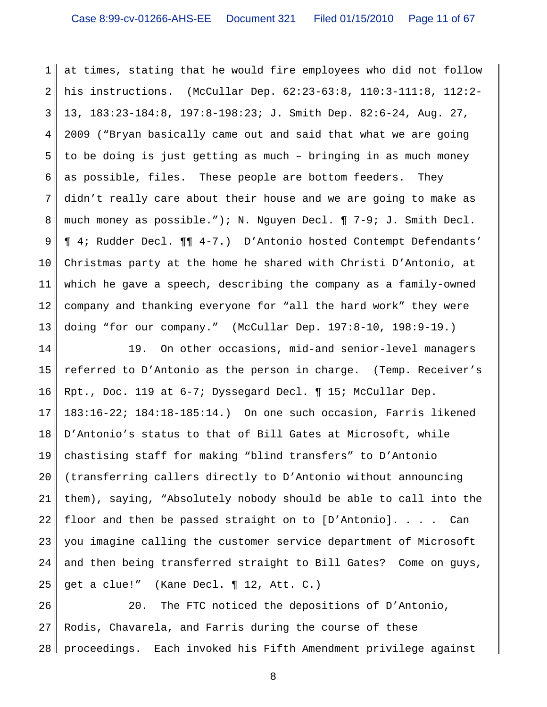1 2 3 4 5 6 7 8 9 10 11 12 13 at times, stating that he would fire employees who did not follow his instructions. (McCullar Dep. 62:23-63:8, 110:3-111:8, 112:2- 13, 183:23-184:8, 197:8-198:23; J. Smith Dep. 82:6-24, Aug. 27, 2009 ("Bryan basically came out and said that what we are going to be doing is just getting as much – bringing in as much money as possible, files. These people are bottom feeders. They didn't really care about their house and we are going to make as much money as possible."); N. Nguyen Decl. ¶ 7-9; J. Smith Decl. ¶ 4; Rudder Decl. ¶¶ 4-7.) D'Antonio hosted Contempt Defendants' Christmas party at the home he shared with Christi D'Antonio, at which he gave a speech, describing the company as a family-owned company and thanking everyone for "all the hard work" they were doing "for our company." (McCullar Dep. 197:8-10, 198:9-19.)

14 15 16 17 18 19 20 21 22 23 24 25 19. On other occasions, mid-and senior-level managers referred to D'Antonio as the person in charge. (Temp. Receiver's Rpt., Doc. 119 at 6-7; Dyssegard Decl. ¶ 15; McCullar Dep. 183:16-22; 184:18-185:14.) On one such occasion, Farris likened D'Antonio's status to that of Bill Gates at Microsoft, while chastising staff for making "blind transfers" to D'Antonio (transferring callers directly to D'Antonio without announcing them), saying, "Absolutely nobody should be able to call into the floor and then be passed straight on to [D'Antonio]. . . . Can you imagine calling the customer service department of Microsoft and then being transferred straight to Bill Gates? Come on guys, get a clue!" (Kane Decl. ¶ 12, Att. C.)

26 27 28 20. The FTC noticed the depositions of D'Antonio, Rodis, Chavarela, and Farris during the course of these proceedings. Each invoked his Fifth Amendment privilege against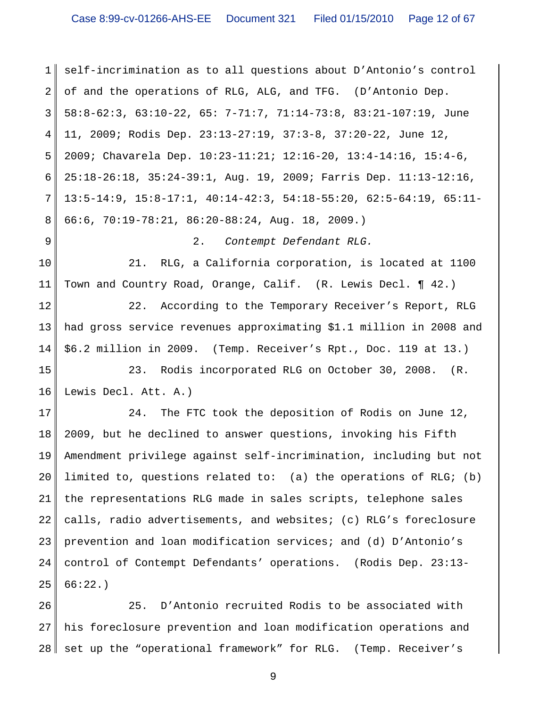1 2 3 4 5 6 7 8 9 10 11 12 13 14 15 16 17 18 19 20 21 22 23 24 25 self-incrimination as to all questions about D'Antonio's control of and the operations of RLG, ALG, and TFG. (D'Antonio Dep. 58:8-62:3, 63:10-22, 65: 7-71:7, 71:14-73:8, 83:21-107:19, June 11, 2009; Rodis Dep. 23:13-27:19, 37:3-8, 37:20-22, June 12, 2009; Chavarela Dep. 10:23-11:21; 12:16-20, 13:4-14:16, 15:4-6, 25:18-26:18, 35:24-39:1, Aug. 19, 2009; Farris Dep. 11:13-12:16, 13:5-14:9, 15:8-17:1, 40:14-42:3, 54:18-55:20, 62:5-64:19, 65:11- 66:6, 70:19-78:21, 86:20-88:24, Aug. 18, 2009.) 2. *Contempt Defendant RLG.* 21. RLG, a California corporation, is located at 1100 Town and Country Road, Orange, Calif. (R. Lewis Decl. ¶ 42.) 22. According to the Temporary Receiver's Report, RLG had gross service revenues approximating \$1.1 million in 2008 and \$6.2 million in 2009. (Temp. Receiver's Rpt., Doc. 119 at 13.) 23. Rodis incorporated RLG on October 30, 2008. (R. Lewis Decl. Att. A.) 24. The FTC took the deposition of Rodis on June 12, 2009, but he declined to answer questions, invoking his Fifth Amendment privilege against self-incrimination, including but not limited to, questions related to: (a) the operations of RLG; (b) the representations RLG made in sales scripts, telephone sales calls, radio advertisements, and websites; (c) RLG's foreclosure prevention and loan modification services; and (d) D'Antonio's control of Contempt Defendants' operations. (Rodis Dep. 23:13- 66:22.)

26 27 28 25. D'Antonio recruited Rodis to be associated with his foreclosure prevention and loan modification operations and set up the "operational framework" for RLG. (Temp. Receiver's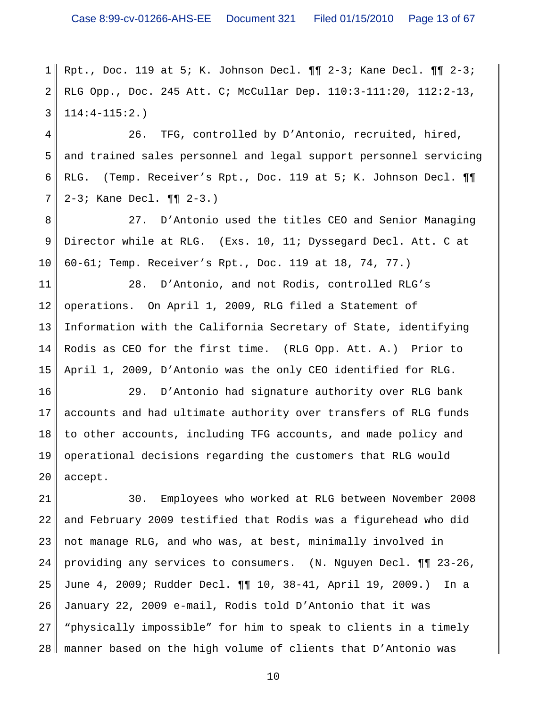1 2 3 Rpt., Doc. 119 at 5; K. Johnson Decl. ¶¶ 2-3; Kane Decl. ¶¶ 2-3; RLG Opp., Doc. 245 Att. C; McCullar Dep. 110:3-111:20, 112:2-13, 114:4-115:2.)

4 5 6 7 26. TFG, controlled by D'Antonio, recruited, hired, and trained sales personnel and legal support personnel servicing RLG. (Temp. Receiver's Rpt., Doc. 119 at 5; K. Johnson Decl. ¶¶ 2-3; Kane Decl. ¶¶ 2-3.)

8 9 10 27. D'Antonio used the titles CEO and Senior Managing Director while at RLG. (Exs. 10, 11; Dyssegard Decl. Att. C at 60-61; Temp. Receiver's Rpt., Doc. 119 at 18, 74, 77.)

11 12 13 14 15 28. D'Antonio, and not Rodis, controlled RLG's operations. On April 1, 2009, RLG filed a Statement of Information with the California Secretary of State, identifying Rodis as CEO for the first time. (RLG Opp. Att. A.) Prior to April 1, 2009, D'Antonio was the only CEO identified for RLG.

16 17 18 19 20 29. D'Antonio had signature authority over RLG bank accounts and had ultimate authority over transfers of RLG funds to other accounts, including TFG accounts, and made policy and operational decisions regarding the customers that RLG would accept.

21 22 23 24 25 26 27 28 30. Employees who worked at RLG between November 2008 and February 2009 testified that Rodis was a figurehead who did not manage RLG, and who was, at best, minimally involved in providing any services to consumers. (N. Nguyen Decl. ¶¶ 23-26, June 4, 2009; Rudder Decl. ¶¶ 10, 38-41, April 19, 2009.) In a January 22, 2009 e-mail, Rodis told D'Antonio that it was "physically impossible" for him to speak to clients in a timely manner based on the high volume of clients that D'Antonio was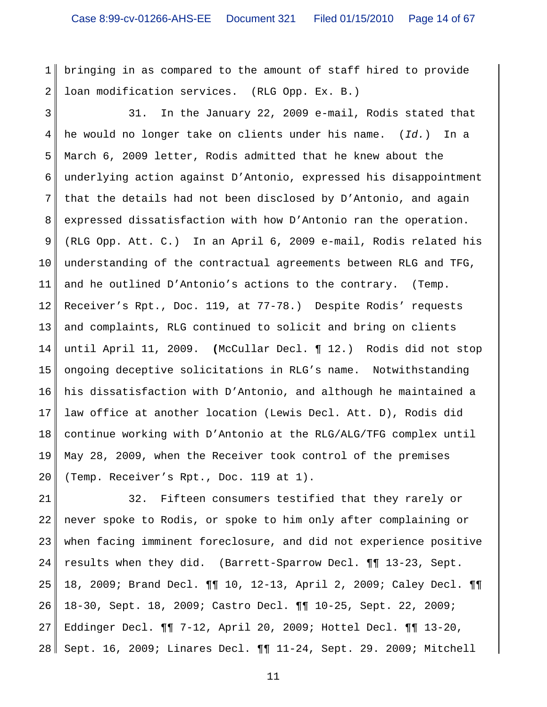1 2 bringing in as compared to the amount of staff hired to provide loan modification services. (RLG Opp. Ex. B.)

3 4 5 6 7 8 9 10 11 12 13 14 15 16 17 18 19 20 31. In the January 22, 2009 e-mail, Rodis stated that he would no longer take on clients under his name. (*Id.*) In a March 6, 2009 letter, Rodis admitted that he knew about the underlying action against D'Antonio, expressed his disappointment that the details had not been disclosed by D'Antonio, and again expressed dissatisfaction with how D'Antonio ran the operation. (RLG Opp. Att. C.) In an April 6, 2009 e-mail, Rodis related his understanding of the contractual agreements between RLG and TFG, and he outlined D'Antonio's actions to the contrary. (Temp. Receiver's Rpt., Doc. 119, at 77-78.) Despite Rodis' requests and complaints, RLG continued to solicit and bring on clients until April 11, 2009. **(**McCullar Decl. ¶ 12.) Rodis did not stop ongoing deceptive solicitations in RLG's name. Notwithstanding his dissatisfaction with D'Antonio, and although he maintained a law office at another location (Lewis Decl. Att. D), Rodis did continue working with D'Antonio at the RLG/ALG/TFG complex until May 28, 2009, when the Receiver took control of the premises (Temp. Receiver's Rpt., Doc. 119 at 1).

21 22 23 24 25 26 27 28 32. Fifteen consumers testified that they rarely or never spoke to Rodis, or spoke to him only after complaining or when facing imminent foreclosure, and did not experience positive results when they did. (Barrett-Sparrow Decl. ¶¶ 13-23, Sept. 18, 2009; Brand Decl. ¶¶ 10, 12-13, April 2, 2009; Caley Decl. ¶¶ 18-30, Sept. 18, 2009; Castro Decl. ¶¶ 10-25, Sept. 22, 2009; Eddinger Decl. ¶¶ 7-12, April 20, 2009; Hottel Decl. ¶¶ 13-20, Sept. 16, 2009; Linares Decl. ¶¶ 11-24, Sept. 29. 2009; Mitchell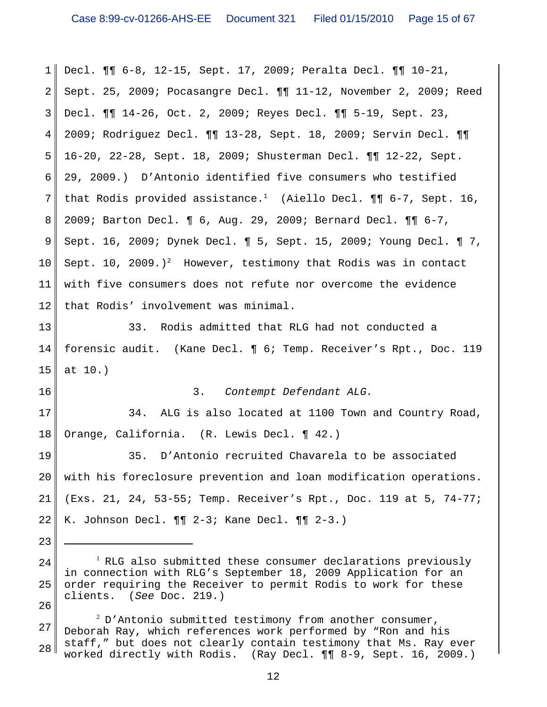1 2 3 4 5 6 7 8 9 10 11 12 13 14 15 16 17 18 19 20 21 22 23 24 25 <sup>1</sup> RLG also submitted these consumer declarations previously in connection with RLG's September 18, 2009 Application for an order requiring the Receiver to permit Rodis to work for these Decl. ¶¶ 6-8, 12-15, Sept. 17, 2009; Peralta Decl. ¶¶ 10-21, Sept. 25, 2009; Pocasangre Decl. ¶¶ 11-12, November 2, 2009; Reed Decl. ¶¶ 14-26, Oct. 2, 2009; Reyes Decl. ¶¶ 5-19, Sept. 23, 2009; Rodriguez Decl. ¶¶ 13-28, Sept. 18, 2009; Servin Decl. ¶¶ 16-20, 22-28, Sept. 18, 2009; Shusterman Decl. ¶¶ 12-22, Sept. 29, 2009.) D'Antonio identified five consumers who testified that Rodis provided assistance.<sup>1</sup> (Aiello Decl.  $\P\P$  6-7, Sept. 16, 2009; Barton Decl. ¶ 6, Aug. 29, 2009; Bernard Decl. ¶¶ 6-7, Sept. 16, 2009; Dynek Decl. ¶ 5, Sept. 15, 2009; Young Decl. ¶ 7, Sept. 10, 2009.)<sup>2</sup> However, testimony that Rodis was in contact with five consumers does not refute nor overcome the evidence that Rodis' involvement was minimal. 33. Rodis admitted that RLG had not conducted a forensic audit. (Kane Decl. ¶ 6; Temp. Receiver's Rpt., Doc. 119 at 10.) 3. *Contempt Defendant ALG.* 34. ALG is also located at 1100 Town and Country Road, Orange, California. (R. Lewis Decl. ¶ 42.) 35. D'Antonio recruited Chavarela to be associated with his foreclosure prevention and loan modification operations. (Exs. 21, 24, 53-55; Temp. Receiver's Rpt., Doc. 119 at 5, 74-77; K. Johnson Decl. ¶¶ 2-3; Kane Decl. ¶¶ 2-3.)

27 28  $^2$  D'Antonio submitted testimony from another consumer, Deborah Ray, which references work performed by "Ron and his staff," but does not clearly contain testimony that Ms. Ray ever worked directly with Rodis. (Ray Decl. ¶¶ 8-9, Sept. 16, 2009.)

26

clients. (*See* Doc. 219.)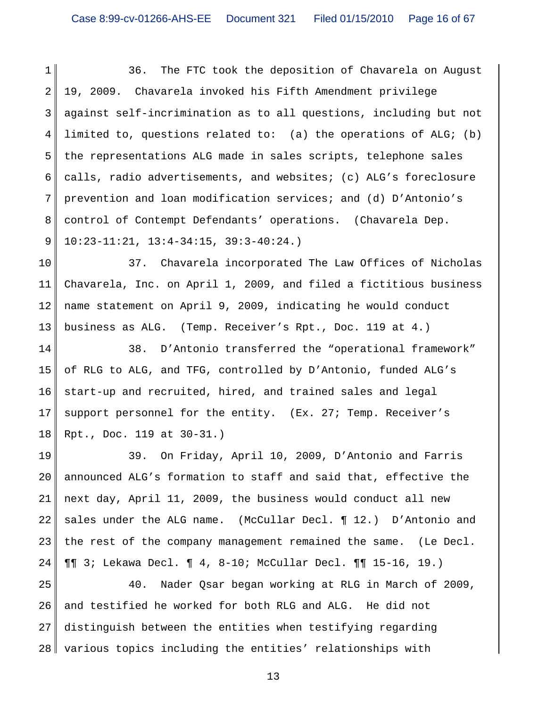1 2 3 4 5 6 7 8 9 36. The FTC took the deposition of Chavarela on August 19, 2009. Chavarela invoked his Fifth Amendment privilege against self-incrimination as to all questions, including but not limited to, questions related to: (a) the operations of ALG; (b) the representations ALG made in sales scripts, telephone sales calls, radio advertisements, and websites; (c) ALG's foreclosure prevention and loan modification services; and (d) D'Antonio's control of Contempt Defendants' operations. (Chavarela Dep. 10:23-11:21, 13:4-34:15, 39:3-40:24.)

10 11 12 13 37. Chavarela incorporated The Law Offices of Nicholas Chavarela, Inc. on April 1, 2009, and filed a fictitious business name statement on April 9, 2009, indicating he would conduct business as ALG. (Temp. Receiver's Rpt., Doc. 119 at 4.)

14 15 16 17 18 38. D'Antonio transferred the "operational framework" of RLG to ALG, and TFG, controlled by D'Antonio, funded ALG's start-up and recruited, hired, and trained sales and legal support personnel for the entity. (Ex. 27; Temp. Receiver's Rpt., Doc. 119 at 30-31.)

19 20 21 22 23 24 39. On Friday, April 10, 2009, D'Antonio and Farris announced ALG's formation to staff and said that, effective the next day, April 11, 2009, the business would conduct all new sales under the ALG name. (McCullar Decl. ¶ 12.) D'Antonio and the rest of the company management remained the same. (Le Decl. ¶¶ 3; Lekawa Decl. ¶ 4, 8-10; McCullar Decl. ¶¶ 15-16, 19.)

25 26 27 28 40. Nader Qsar began working at RLG in March of 2009, and testified he worked for both RLG and ALG. He did not distinguish between the entities when testifying regarding various topics including the entities' relationships with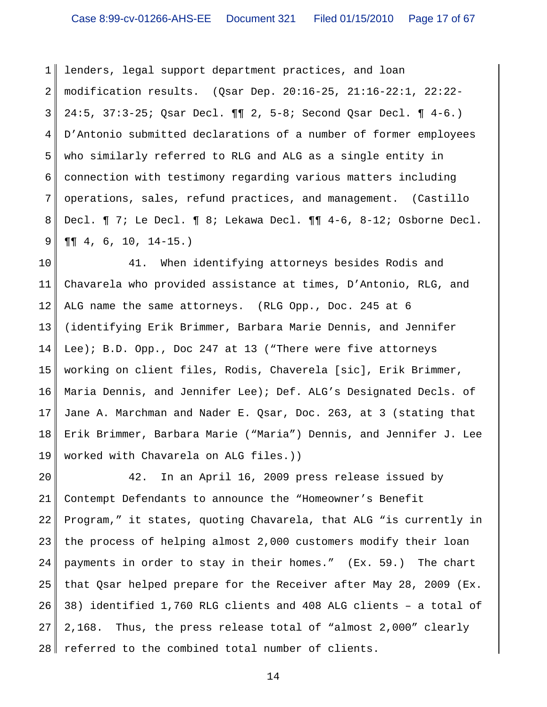1 2 3 4 5 6 7 8 9 lenders, legal support department practices, and loan modification results. (Qsar Dep. 20:16-25, 21:16-22:1, 22:22- 24:5, 37:3-25; Qsar Decl. ¶¶ 2, 5-8; Second Qsar Decl. ¶ 4-6.) D'Antonio submitted declarations of a number of former employees who similarly referred to RLG and ALG as a single entity in connection with testimony regarding various matters including operations, sales, refund practices, and management. (Castillo Decl. ¶ 7; Le Decl. ¶ 8; Lekawa Decl. ¶¶ 4-6, 8-12; Osborne Decl. ¶¶ 4, 6, 10, 14-15.)

10 11 12 13 14 15 16 17 18 19 41. When identifying attorneys besides Rodis and Chavarela who provided assistance at times, D'Antonio, RLG, and ALG name the same attorneys. (RLG Opp., Doc. 245 at 6 (identifying Erik Brimmer, Barbara Marie Dennis, and Jennifer Lee); B.D. Opp., Doc 247 at 13 ("There were five attorneys working on client files, Rodis, Chaverela [sic], Erik Brimmer, Maria Dennis, and Jennifer Lee); Def. ALG's Designated Decls. of Jane A. Marchman and Nader E. Qsar, Doc. 263, at 3 (stating that Erik Brimmer, Barbara Marie ("Maria") Dennis, and Jennifer J. Lee worked with Chavarela on ALG files.))

20 21 22 23 24 25 26 27 28 42. In an April 16, 2009 press release issued by Contempt Defendants to announce the "Homeowner's Benefit Program," it states, quoting Chavarela, that ALG "is currently in the process of helping almost 2,000 customers modify their loan payments in order to stay in their homes." (Ex. 59.) The chart that Qsar helped prepare for the Receiver after May 28, 2009 (Ex. 38) identified 1,760 RLG clients and 408 ALG clients – a total of 2,168. Thus, the press release total of "almost 2,000" clearly referred to the combined total number of clients.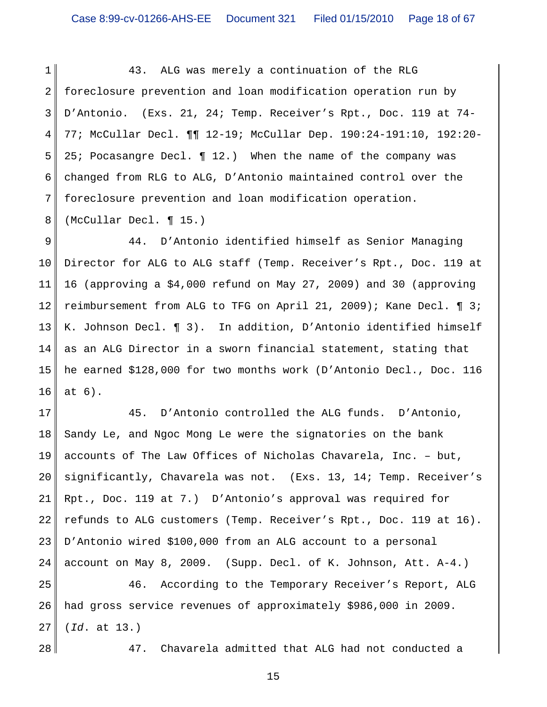1 2 3 4 5 6 7 8 43. ALG was merely a continuation of the RLG foreclosure prevention and loan modification operation run by D'Antonio. (Exs. 21, 24; Temp. Receiver's Rpt., Doc. 119 at 74- 77; McCullar Decl. ¶¶ 12-19; McCullar Dep. 190:24-191:10, 192:20- 25; Pocasangre Decl. ¶ 12.) When the name of the company was changed from RLG to ALG, D'Antonio maintained control over the foreclosure prevention and loan modification operation. (McCullar Decl. ¶ 15.)

9 10 11 12 13 14 15 16 44. D'Antonio identified himself as Senior Managing Director for ALG to ALG staff (Temp. Receiver's Rpt., Doc. 119 at 16 (approving a \$4,000 refund on May 27, 2009) and 30 (approving reimbursement from ALG to TFG on April 21, 2009); Kane Decl. ¶ 3; K. Johnson Decl. ¶ 3). In addition, D'Antonio identified himself as an ALG Director in a sworn financial statement, stating that he earned \$128,000 for two months work (D'Antonio Decl., Doc. 116 at 6).

17 18 19 20 21 22 23 24 45. D'Antonio controlled the ALG funds. D'Antonio, Sandy Le, and Ngoc Mong Le were the signatories on the bank accounts of The Law Offices of Nicholas Chavarela, Inc. – but, significantly, Chavarela was not. (Exs. 13, 14; Temp. Receiver's Rpt., Doc. 119 at 7.) D'Antonio's approval was required for refunds to ALG customers (Temp. Receiver's Rpt., Doc. 119 at 16). D'Antonio wired \$100,000 from an ALG account to a personal account on May 8, 2009. (Supp. Decl. of K. Johnson, Att. A-4.)

25 26 27 46. According to the Temporary Receiver's Report, ALG had gross service revenues of approximately \$986,000 in 2009. (*Id*. at 13.)

28

47. Chavarela admitted that ALG had not conducted a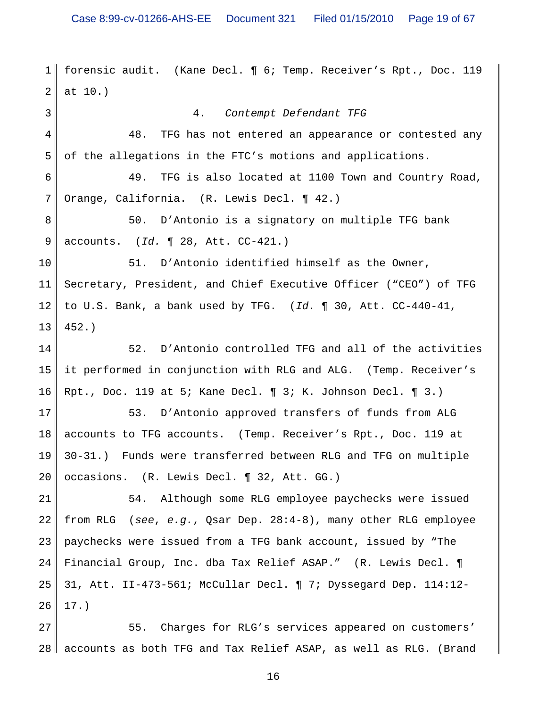1 2 3 4 5 6 7 8 9 10 11 12 13 14 15 16 17 18 19 20 21 22 23 24 25 26 forensic audit. (Kane Decl. ¶ 6; Temp. Receiver's Rpt., Doc. 119 at 10.) 4. *Contempt Defendant TFG* 48. TFG has not entered an appearance or contested any of the allegations in the FTC's motions and applications. 49. TFG is also located at 1100 Town and Country Road, Orange, California. (R. Lewis Decl. ¶ 42.) 50. D'Antonio is a signatory on multiple TFG bank accounts. (*Id.* ¶ 28, Att. CC-421.) 51. D'Antonio identified himself as the Owner, Secretary, President, and Chief Executive Officer ("CEO") of TFG to U.S. Bank, a bank used by TFG. (*Id.* ¶ 30, Att. CC-440-41, 452.) 52. D'Antonio controlled TFG and all of the activities it performed in conjunction with RLG and ALG. (Temp. Receiver's Rpt., Doc. 119 at 5; Kane Decl. ¶ 3; K. Johnson Decl. ¶ 3.) 53. D'Antonio approved transfers of funds from ALG accounts to TFG accounts. (Temp. Receiver's Rpt., Doc. 119 at 30-31.) Funds were transferred between RLG and TFG on multiple occasions. (R. Lewis Decl. ¶ 32, Att. GG.) 54. Although some RLG employee paychecks were issued from RLG (*see*, *e.g.*, Qsar Dep. 28:4-8), many other RLG employee paychecks were issued from a TFG bank account, issued by "The Financial Group, Inc. dba Tax Relief ASAP." (R. Lewis Decl. ¶ 31, Att. II-473-561; McCullar Decl. ¶ 7; Dyssegard Dep. 114:12- 17.)

27 28 accounts as both TFG and Tax Relief ASAP, as well as RLG. (Brand 55. Charges for RLG's services appeared on customers'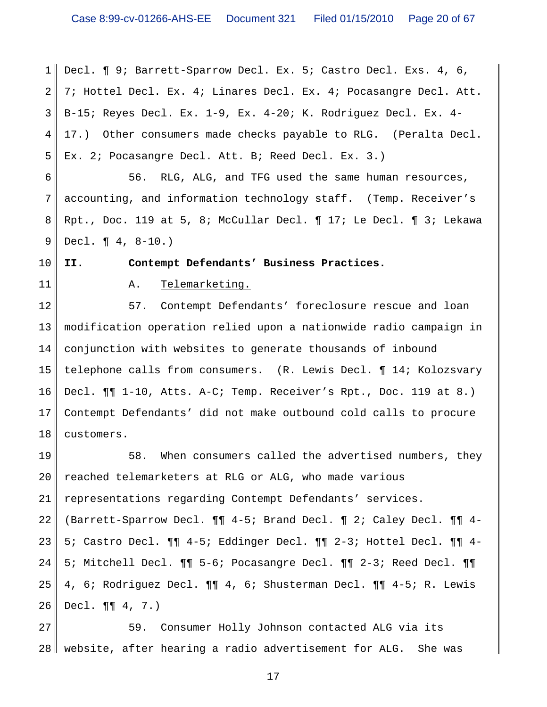1 2 3 4 5 Decl. ¶ 9; Barrett-Sparrow Decl. Ex. 5; Castro Decl. Exs. 4, 6, 7; Hottel Decl. Ex. 4; Linares Decl. Ex. 4; Pocasangre Decl. Att. B-15; Reyes Decl. Ex. 1-9, Ex. 4-20; K. Rodriguez Decl. Ex. 4- 17.) Other consumers made checks payable to RLG. (Peralta Decl. Ex. 2; Pocasangre Decl. Att. B; Reed Decl. Ex. 3.)

6 7 8 9 56. RLG, ALG, and TFG used the same human resources, accounting, and information technology staff. (Temp. Receiver's Rpt., Doc. 119 at 5, 8; McCullar Decl. ¶ 17; Le Decl. ¶ 3; Lekawa Decl. ¶ 4, 8-10.)

**II. Contempt Defendants' Business Practices.**

11

10

#### A. Telemarketing.

12 13 14 15 16 17 18 57. Contempt Defendants' foreclosure rescue and loan modification operation relied upon a nationwide radio campaign in conjunction with websites to generate thousands of inbound telephone calls from consumers. (R. Lewis Decl. ¶ 14; Kolozsvary Decl. ¶¶ 1-10, Atts. A-C; Temp. Receiver's Rpt., Doc. 119 at 8.) Contempt Defendants' did not make outbound cold calls to procure customers.

19 20 21 22 23 24 25 26 58. When consumers called the advertised numbers, they reached telemarketers at RLG or ALG, who made various representations regarding Contempt Defendants' services. (Barrett-Sparrow Decl. ¶¶ 4-5; Brand Decl. ¶ 2; Caley Decl. ¶¶ 4- 5; Castro Decl. ¶¶ 4-5; Eddinger Decl. ¶¶ 2-3; Hottel Decl. ¶¶ 4- 5; Mitchell Decl. ¶¶ 5-6; Pocasangre Decl. ¶¶ 2-3; Reed Decl. ¶¶ 4, 6; Rodriguez Decl. ¶¶ 4, 6; Shusterman Decl. ¶¶ 4-5; R. Lewis Decl. ¶¶ 4, 7.)

27 28 website, after hearing a radio advertisement for ALG. She was 59. Consumer Holly Johnson contacted ALG via its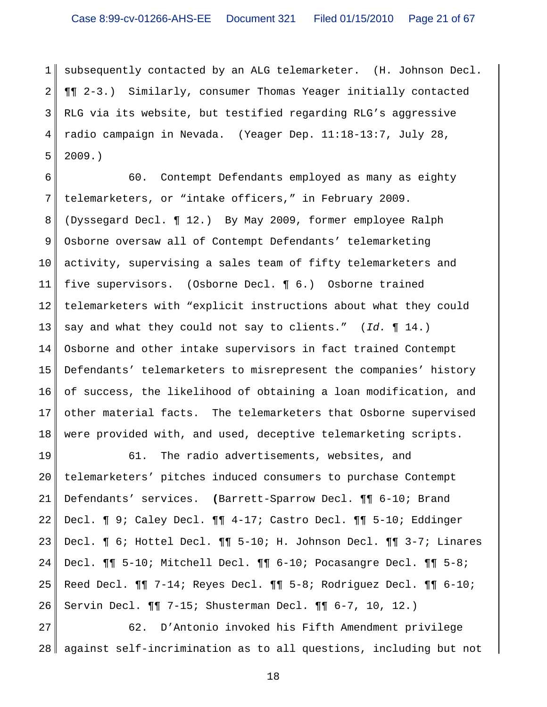1 2 3 4 5 subsequently contacted by an ALG telemarketer. (H. Johnson Decl. ¶¶ 2-3.) Similarly, consumer Thomas Yeager initially contacted RLG via its website, but testified regarding RLG's aggressive radio campaign in Nevada. (Yeager Dep. 11:18-13:7, July 28, 2009.)

6 7 8 9 10 11 12 13 14 15 16 17 18 60. Contempt Defendants employed as many as eighty telemarketers, or "intake officers," in February 2009. (Dyssegard Decl. ¶ 12.) By May 2009, former employee Ralph Osborne oversaw all of Contempt Defendants' telemarketing activity, supervising a sales team of fifty telemarketers and five supervisors. (Osborne Decl. ¶ 6.) Osborne trained telemarketers with "explicit instructions about what they could say and what they could not say to clients." (*Id.* ¶ 14.) Osborne and other intake supervisors in fact trained Contempt Defendants' telemarketers to misrepresent the companies' history of success, the likelihood of obtaining a loan modification, and other material facts. The telemarketers that Osborne supervised were provided with, and used, deceptive telemarketing scripts.

19 20 21 22 23 24 25 26 61. The radio advertisements, websites, and telemarketers' pitches induced consumers to purchase Contempt Defendants' services. **(**Barrett-Sparrow Decl. ¶¶ 6-10; Brand Decl. ¶ 9; Caley Decl. ¶¶ 4-17; Castro Decl. ¶¶ 5-10; Eddinger Decl. ¶ 6; Hottel Decl. ¶¶ 5-10; H. Johnson Decl. ¶¶ 3-7; Linares Decl. ¶¶ 5-10; Mitchell Decl. ¶¶ 6-10; Pocasangre Decl. ¶¶ 5-8; Reed Decl. ¶¶ 7-14; Reyes Decl. ¶¶ 5-8; Rodriguez Decl. ¶¶ 6-10; Servin Decl. ¶¶ 7-15; Shusterman Decl. ¶¶ 6-7, 10, 12.)

27 28 62. D'Antonio invoked his Fifth Amendment privilege against self-incrimination as to all questions, including but not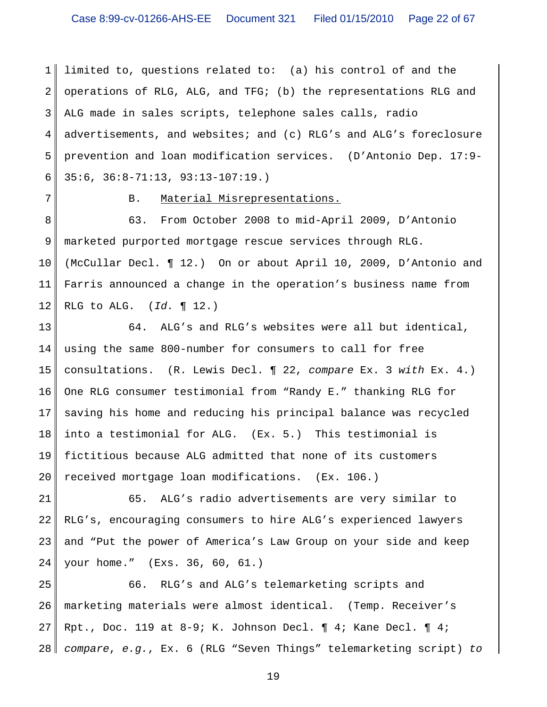1 2 3 4 5 6 limited to, questions related to: (a) his control of and the operations of RLG, ALG, and TFG; (b) the representations RLG and ALG made in sales scripts, telephone sales calls, radio advertisements, and websites; and (c) RLG's and ALG's foreclosure prevention and loan modification services. (D'Antonio Dep. 17:9- 35:6, 36:8-71:13, 93:13-107:19.)

7

#### B. Material Misrepresentations.

8 9 10 11 12 63. From October 2008 to mid-April 2009, D'Antonio marketed purported mortgage rescue services through RLG. (McCullar Decl. ¶ 12.) On or about April 10, 2009, D'Antonio and Farris announced a change in the operation's business name from RLG to ALG. (*Id.* ¶ 12.)

13 14 15 16 17 18 19 20 64. ALG's and RLG's websites were all but identical, using the same 800-number for consumers to call for free consultations. (R. Lewis Decl. ¶ 22, *compare* Ex. 3 *with* Ex. 4.) One RLG consumer testimonial from "Randy E." thanking RLG for saving his home and reducing his principal balance was recycled into a testimonial for ALG. (Ex. 5.) This testimonial is fictitious because ALG admitted that none of its customers received mortgage loan modifications. (Ex. 106.)

21 22 23 24 65. ALG's radio advertisements are very similar to RLG's, encouraging consumers to hire ALG's experienced lawyers and "Put the power of America's Law Group on your side and keep your home." (Exs. 36, 60, 61.)

25 26 27 28 66. RLG's and ALG's telemarketing scripts and marketing materials were almost identical. (Temp. Receiver's Rpt., Doc. 119 at  $8-9$ ; K. Johnson Decl.  $\P$  4; Kane Decl.  $\P$  4; *compare*, *e.g.*, Ex. 6 (RLG "Seven Things" telemarketing script) *to*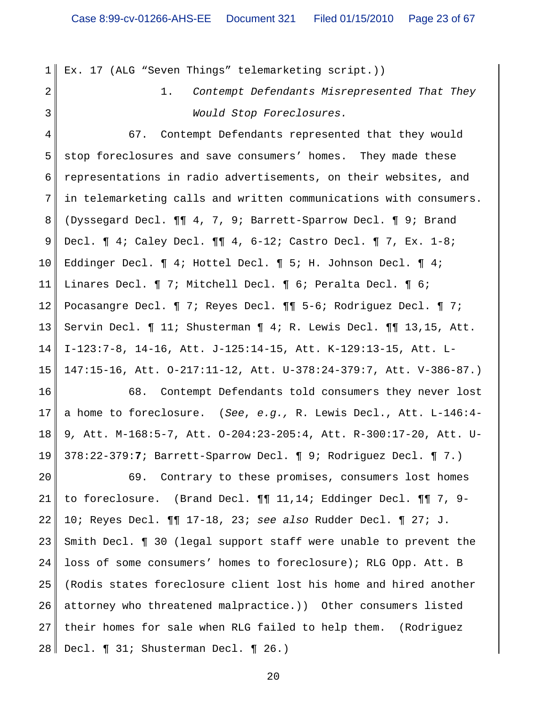1 Ex. 17 (ALG "Seven Things" telemarketing script.))

2

3

1. *Contempt Defendants Misrepresented That They Would Stop Foreclosures.*

4 5 6 7 8 9 10 11 12 13 14 15 67. Contempt Defendants represented that they would stop foreclosures and save consumers' homes. They made these representations in radio advertisements, on their websites, and in telemarketing calls and written communications with consumers. (Dyssegard Decl. ¶¶ 4, 7, 9; Barrett-Sparrow Decl. ¶ 9; Brand Decl. ¶ 4; Caley Decl. ¶¶ 4, 6-12; Castro Decl. ¶ 7, Ex. 1-8; Eddinger Decl. ¶ 4; Hottel Decl. ¶ 5; H. Johnson Decl. ¶ 4; Linares Decl. ¶ 7; Mitchell Decl. ¶ 6; Peralta Decl. ¶ 6; Pocasangre Decl. ¶ 7; Reyes Decl. ¶¶ 5-6; Rodriguez Decl. ¶ 7; Servin Decl. ¶ 11; Shusterman ¶ 4; R. Lewis Decl. ¶¶ 13,15, Att. I-123:7-8, 14-16, Att. J-125:14-15, Att. K-129:13-15, Att. L-147:15-16, Att. O-217:11-12, Att. U-378:24-379:7, Att. V-386-87.)

16 17 18 19 68. Contempt Defendants told consumers they never lost a home to foreclosure. (*See*, *e.g.,* R. Lewis Decl., Att. L-146:4- 9*,* Att. M-168:5-7, Att. O-204:23-205:4, Att. R-300:17-20, Att. U-378:22-379:**7**; Barrett-Sparrow Decl. ¶ 9; Rodriguez Decl. ¶ 7.)

20 21 22 23 24 25 26 27 28 69. Contrary to these promises, consumers lost homes to foreclosure. (Brand Decl. ¶¶ 11,14; Eddinger Decl. ¶¶ 7, 9- 10; Reyes Decl. ¶¶ 17-18, 23; *see also* Rudder Decl. ¶ 27; J. Smith Decl. ¶ 30 (legal support staff were unable to prevent the loss of some consumers' homes to foreclosure); RLG Opp. Att. B (Rodis states foreclosure client lost his home and hired another attorney who threatened malpractice.)) Other consumers listed their homes for sale when RLG failed to help them. (Rodriguez Decl. ¶ 31; Shusterman Decl. ¶ 26.)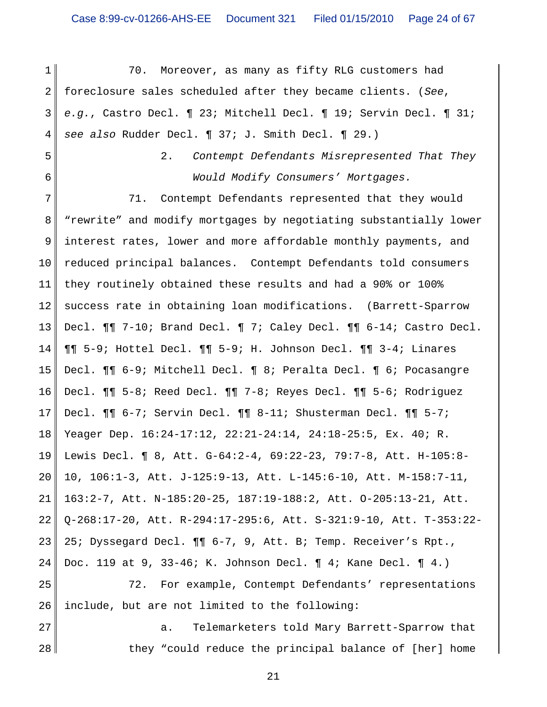1 2 3 4 5 6 7 8 9 10 11 12 13 14 15 16 17 18 19 20 21 22 23 24 25 26 27 70. Moreover, as many as fifty RLG customers had foreclosure sales scheduled after they became clients. (*See*, *e.g.*, Castro Decl. ¶ 23; Mitchell Decl. ¶ 19; Servin Decl. ¶ 31; *see also* Rudder Decl. ¶ 37; J. Smith Decl. ¶ 29.) 2. *Contempt Defendants Misrepresented That They Would Modify Consumers' Mortgages.* 71. Contempt Defendants represented that they would "rewrite" and modify mortgages by negotiating substantially lower interest rates, lower and more affordable monthly payments, and reduced principal balances. Contempt Defendants told consumers they routinely obtained these results and had a 90% or 100% success rate in obtaining loan modifications. (Barrett-Sparrow Decl. ¶¶ 7-10; Brand Decl. ¶ 7; Caley Decl. ¶¶ 6-14; Castro Decl. ¶¶ 5-9; Hottel Decl. ¶¶ 5-9; H. Johnson Decl. ¶¶ 3-4; Linares Decl. ¶¶ 6-9; Mitchell Decl. ¶ 8; Peralta Decl. ¶ 6; Pocasangre Decl. ¶¶ 5-8; Reed Decl. ¶¶ 7-8; Reyes Decl. ¶¶ 5-6; Rodriguez Decl. ¶¶ 6-7; Servin Decl. ¶¶ 8-11; Shusterman Decl. ¶¶ 5-7; Yeager Dep. 16:24-17:12, 22:21-24:14, 24:18-25:5, Ex. 40; R. Lewis Decl. ¶ 8, Att. G-64:2-4, 69:22-23, 79:7-8, Att. H-105:8- 10, 106:1-3, Att. J-125:9-13, Att. L-145:6-10, Att. M-158:7-11, 163:2-7, Att. N-185:20-25, 187:19-188:2, Att. O-205:13-21, Att. Q-268:17-20, Att. R-294:17-295:6, Att. S-321:9-10, Att. T-353:22- 25; Dyssegard Decl. ¶¶ 6-7, 9, Att. B; Temp. Receiver's Rpt., Doc. 119 at 9, 33-46; K. Johnson Decl. ¶ 4; Kane Decl. ¶ 4.) 72. For example, Contempt Defendants' representations include, but are not limited to the following: a. Telemarketers told Mary Barrett-Sparrow that

they "could reduce the principal balance of [her] home

28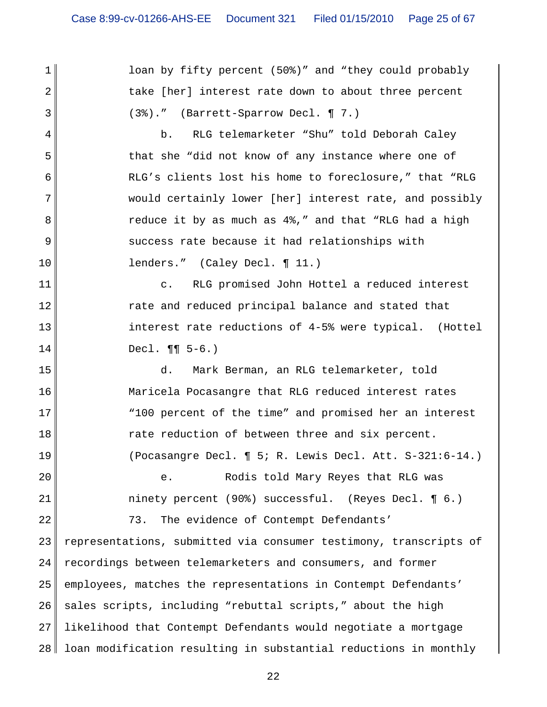loan by fifty percent (50%)" and "they could probably take [her] interest rate down to about three percent (3%)." (Barrett-Sparrow Decl. ¶ 7.)

1

2

3

4

5

6

7

8

9

10

20

21

22

b. RLG telemarketer "Shu" told Deborah Caley that she "did not know of any instance where one of RLG's clients lost his home to foreclosure," that "RLG would certainly lower [her] interest rate, and possibly reduce it by as much as 4%," and that "RLG had a high success rate because it had relationships with lenders." (Caley Decl. ¶ 11.)

11 12 13 14 c. RLG promised John Hottel a reduced interest rate and reduced principal balance and stated that interest rate reductions of 4-5% were typical. (Hottel Decl. ¶¶ 5-6.)

15 16 17 18 19 d. Mark Berman, an RLG telemarketer, told Maricela Pocasangre that RLG reduced interest rates "100 percent of the time" and promised her an interest rate reduction of between three and six percent. (Pocasangre Decl. ¶ 5; R. Lewis Decl. Att. S-321:6-14.)

> e. Rodis told Mary Reyes that RLG was ninety percent (90%) successful. (Reyes Decl. ¶ 6.)

23 24 25 26 27 28 representations, submitted via consumer testimony, transcripts of recordings between telemarketers and consumers, and former employees, matches the representations in Contempt Defendants' sales scripts, including "rebuttal scripts," about the high likelihood that Contempt Defendants would negotiate a mortgage loan modification resulting in substantial reductions in monthly

73. The evidence of Contempt Defendants'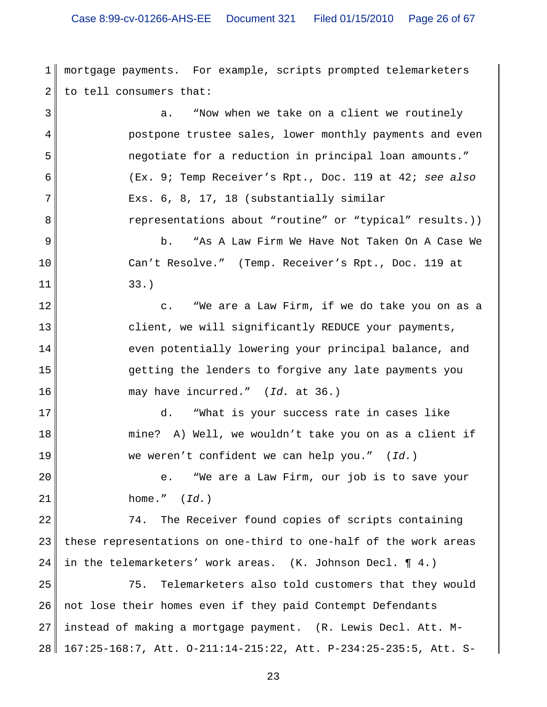1 2 mortgage payments. For example, scripts prompted telemarketers to tell consumers that:

3 4 5 6 7 8 9 10 11 12 13 14 15 16 17 18 19 20 21 22 23 24 25 26 a. "Now when we take on a client we routinely postpone trustee sales, lower monthly payments and even negotiate for a reduction in principal loan amounts." (Ex. 9; Temp Receiver's Rpt., Doc. 119 at 42; *see also* Exs. 6, 8, 17, 18 (substantially similar representations about "routine" or "typical" results.)) b. "As A Law Firm We Have Not Taken On A Case We Can't Resolve." (Temp. Receiver's Rpt., Doc. 119 at 33.) c. "We are a Law Firm, if we do take you on as a client, we will significantly REDUCE your payments, even potentially lowering your principal balance, and getting the lenders to forgive any late payments you may have incurred." (*Id.* at 36.) d. "What is your success rate in cases like mine? A) Well, we wouldn't take you on as a client if we weren't confident we can help you." (*Id.*) e. "We are a Law Firm, our job is to save your home." (*Id.*) 74. The Receiver found copies of scripts containing these representations on one-third to one-half of the work areas in the telemarketers' work areas. (K. Johnson Decl. ¶ 4.) 75. Telemarketers also told customers that they would not lose their homes even if they paid Contempt Defendants

27 28 instead of making a mortgage payment. (R. Lewis Decl. Att. M-167:25-168:7, Att. O-211:14-215:22, Att. P-234:25-235:5, Att. S-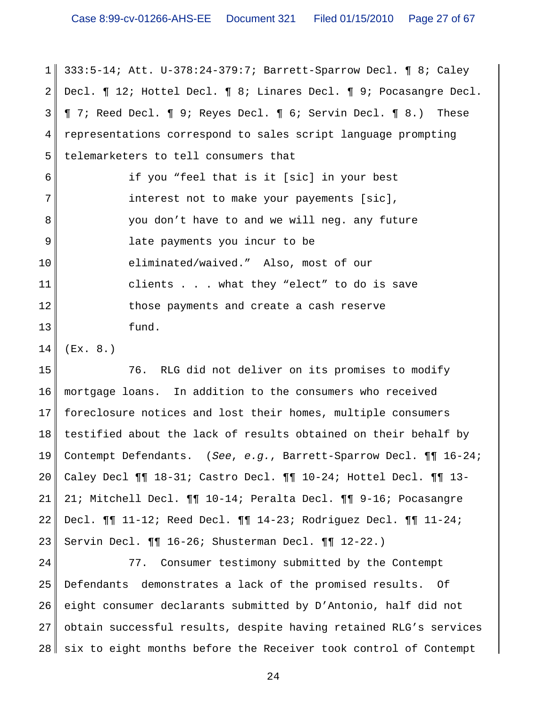1 2 3 4 5 6 7 8 9 10 11 12 13 333:5-14; Att. U-378:24-379:7; Barrett-Sparrow Decl. ¶ 8; Caley Decl. ¶ 12; Hottel Decl. ¶ 8; Linares Decl. ¶ 9; Pocasangre Decl. ¶ 7; Reed Decl. ¶ 9; Reyes Decl. ¶ 6; Servin Decl. ¶ 8.) These representations correspond to sales script language prompting telemarketers to tell consumers that if you "feel that is it [sic] in your best interest not to make your payements [sic], you don't have to and we will neg. any future late payments you incur to be eliminated/waived." Also, most of our clients . . . what they "elect" to do is save those payments and create a cash reserve fund.

14 (Ex. 8.)

15 16 17 18 19 20 21 22 23 76. RLG did not deliver on its promises to modify mortgage loans. In addition to the consumers who received foreclosure notices and lost their homes, multiple consumers testified about the lack of results obtained on their behalf by Contempt Defendants. (*See*, *e.g.*, Barrett-Sparrow Decl. ¶¶ 16-24; Caley Decl ¶¶ 18-31; Castro Decl. ¶¶ 10-24; Hottel Decl. ¶¶ 13- 21; Mitchell Decl. ¶¶ 10-14; Peralta Decl. ¶¶ 9-16; Pocasangre Decl. ¶¶ 11-12; Reed Decl. ¶¶ 14-23; Rodriguez Decl. ¶¶ 11-24; Servin Decl. ¶¶ 16-26; Shusterman Decl. ¶¶ 12-22.)

24 25 26 27 28 77. Consumer testimony submitted by the Contempt Defendants demonstrates a lack of the promised results. Of eight consumer declarants submitted by D'Antonio, half did not obtain successful results, despite having retained RLG's services six to eight months before the Receiver took control of Contempt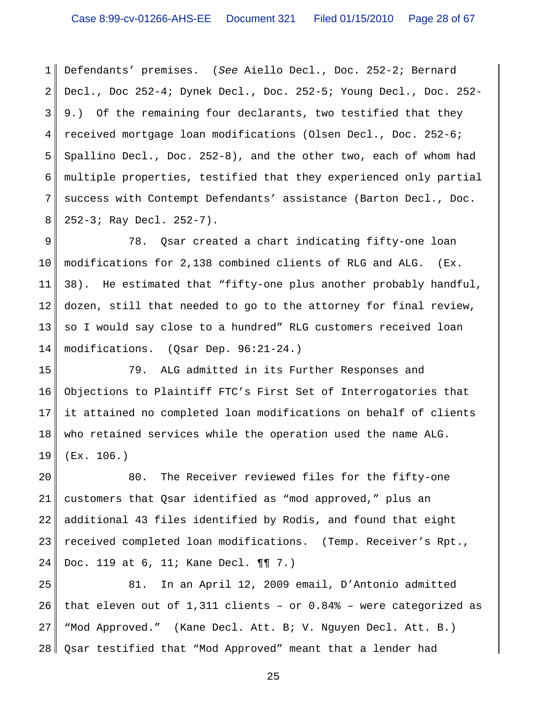1 2 3 4 5 6 7 8 Defendants' premises. (*See* Aiello Decl., Doc. 252-2; Bernard Decl., Doc 252-4; Dynek Decl., Doc. 252-5; Young Decl., Doc. 252- 9.) Of the remaining four declarants, two testified that they received mortgage loan modifications (Olsen Decl., Doc. 252-6; Spallino Decl., Doc. 252-8), and the other two, each of whom had multiple properties, testified that they experienced only partial success with Contempt Defendants' assistance (Barton Decl., Doc. 252-3; Ray Decl. 252-7).

9 10 11 12 13 14 78. Qsar created a chart indicating fifty-one loan modifications for 2,138 combined clients of RLG and ALG. (Ex. 38). He estimated that "fifty-one plus another probably handful, dozen, still that needed to go to the attorney for final review, so I would say close to a hundred" RLG customers received loan modifications. (Qsar Dep. 96:21-24.)

15 16 17 18 19 79. ALG admitted in its Further Responses and Objections to Plaintiff FTC's First Set of Interrogatories that it attained no completed loan modifications on behalf of clients who retained services while the operation used the name ALG. (Ex. 106.)

20 21 22 23 24 80. The Receiver reviewed files for the fifty-one customers that Qsar identified as "mod approved," plus an additional 43 files identified by Rodis, and found that eight received completed loan modifications. (Temp. Receiver's Rpt., Doc. 119 at 6, 11; Kane Decl. ¶¶ 7.)

25 26 27 28 81. In an April 12, 2009 email, D'Antonio admitted that eleven out of 1,311 clients – or 0.84% – were categorized as "Mod Approved." (Kane Decl. Att. B; V. Nguyen Decl. Att. B.) Qsar testified that "Mod Approved" meant that a lender had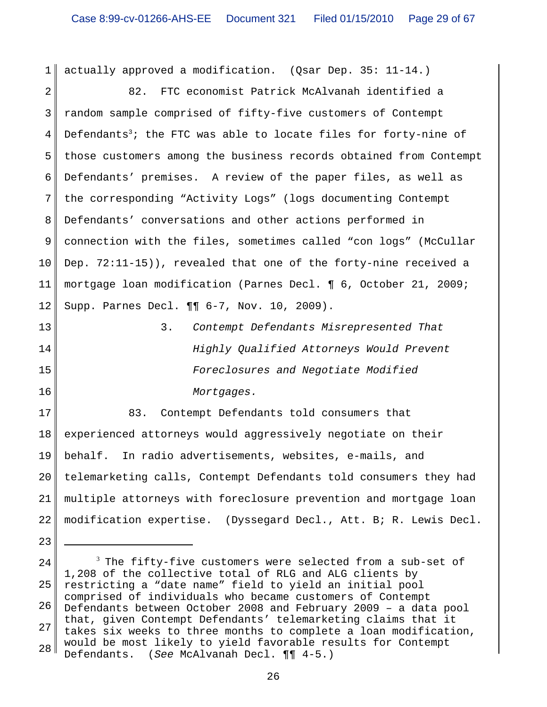1 actually approved a modification. (Qsar Dep. 35: 11-14.)

2 3 4 5 6 7 8 9 10 11 12 82. FTC economist Patrick McAlvanah identified a random sample comprised of fifty-five customers of Contempt Defendants $^3\!$ ; the FTC was able to locate files for forty-nine of those customers among the business records obtained from Contempt Defendants' premises. A review of the paper files, as well as the corresponding "Activity Logs" (logs documenting Contempt Defendants' conversations and other actions performed in connection with the files, sometimes called "con logs" (McCullar Dep. 72:11-15)), revealed that one of the forty-nine received a mortgage loan modification (Parnes Decl. ¶ 6, October 21, 2009; Supp. Parnes Decl. ¶¶ 6-7, Nov. 10, 2009).

13 14 15 16 3. *Contempt Defendants Misrepresented That Highly Qualified Attorneys Would Prevent Foreclosures and Negotiate Modified Mortgages.*

17 18 19 20 21 22 83. Contempt Defendants told consumers that experienced attorneys would aggressively negotiate on their behalf. In radio advertisements, websites, e-mails, and telemarketing calls, Contempt Defendants told consumers they had multiple attorneys with foreclosure prevention and mortgage loan modification expertise. (Dyssegard Decl., Att. B; R. Lewis Decl.

23

24 25 26 27 28  $^3$  The fifty-five customers were selected from a sub-set of 1,208 of the collective total of RLG and ALG clients by restricting a "date name" field to yield an initial pool comprised of individuals who became customers of Contempt Defendants between October 2008 and February 2009 – a data pool that, given Contempt Defendants' telemarketing claims that it takes six weeks to three months to complete a loan modification, would be most likely to yield favorable results for Contempt Defendants. (*See* McAlvanah Decl. ¶¶ 4-5.)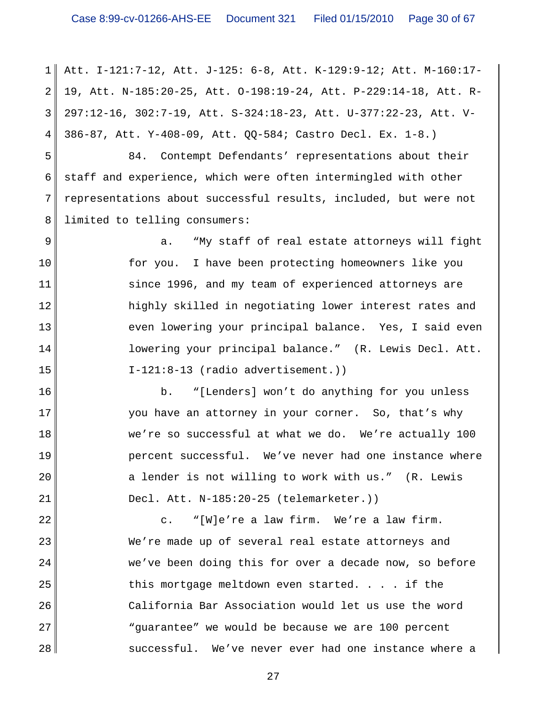1 2 3 4 Att. I-121:7-12, Att. J-125: 6-8, Att. K-129:9-12; Att. M-160:17- 19, Att. N-185:20-25, Att. O-198:19-24, Att. P-229:14-18, Att. R-297:12-16, 302:7-19, Att. S-324:18-23, Att. U-377:22-23, Att. V-386-87, Att. Y-408-09, Att. QQ-584; Castro Decl. Ex. 1-8.)

5 6 7 8 84. Contempt Defendants' representations about their staff and experience, which were often intermingled with other representations about successful results, included, but were not limited to telling consumers:

9 10 11 12 13 14 15 a. "My staff of real estate attorneys will fight for you. I have been protecting homeowners like you since 1996, and my team of experienced attorneys are highly skilled in negotiating lower interest rates and even lowering your principal balance. Yes, I said even lowering your principal balance." (R. Lewis Decl. Att. I-121:8-13 (radio advertisement.))

16 17 18 19 20 21 b. "[Lenders] won't do anything for you unless you have an attorney in your corner. So, that's why we're so successful at what we do. We're actually 100 percent successful. We've never had one instance where a lender is not willing to work with us." (R. Lewis Decl. Att. N-185:20-25 (telemarketer.))

22 23 24 25 26 27 28 c. "[W]e're a law firm. We're a law firm. We're made up of several real estate attorneys and we've been doing this for over a decade now, so before this mortgage meltdown even started. . . . if the California Bar Association would let us use the word "guarantee" we would be because we are 100 percent successful. We've never ever had one instance where a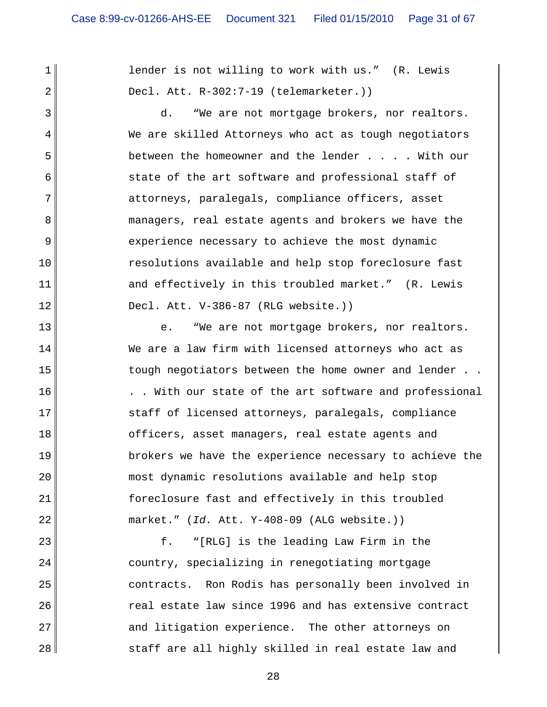1 2

3

4

5

6

7

8

9

10

11

12

13

14

15

16

17

18

19

20

21

22

lender is not willing to work with us." (R. Lewis Decl. Att. R-302:7-19 (telemarketer.))

d. "We are not mortgage brokers, nor realtors. We are skilled Attorneys who act as tough negotiators between the homeowner and the lender . . . . With our state of the art software and professional staff of attorneys, paralegals, compliance officers, asset managers, real estate agents and brokers we have the experience necessary to achieve the most dynamic resolutions available and help stop foreclosure fast and effectively in this troubled market." (R. Lewis Decl. Att. V-386-87 (RLG website.))

e. "We are not mortgage brokers, nor realtors. We are a law firm with licensed attorneys who act as tough negotiators between the home owner and lender . . . . With our state of the art software and professional staff of licensed attorneys, paralegals, compliance officers, asset managers, real estate agents and brokers we have the experience necessary to achieve the most dynamic resolutions available and help stop foreclosure fast and effectively in this troubled market." (*Id.* Att. Y-408-09 (ALG website.))

23 24 25 26 27 28 f. "[RLG] is the leading Law Firm in the country, specializing in renegotiating mortgage contracts. Ron Rodis has personally been involved in real estate law since 1996 and has extensive contract and litigation experience. The other attorneys on staff are all highly skilled in real estate law and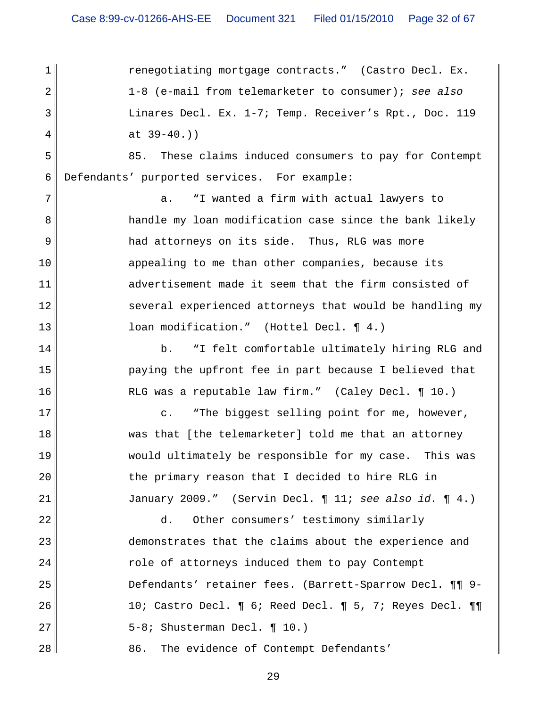1 2 3 4 5 6 7 8 9 10 11 12 13 14 15 16 17 18 19 20 21 22 23 24 25 26 27 renegotiating mortgage contracts." (Castro Decl. Ex. 1-8 (e-mail from telemarketer to consumer); *see also* Linares Decl. Ex. 1-7; Temp. Receiver's Rpt., Doc. 119 at 39-40.)) 85. These claims induced consumers to pay for Contempt Defendants' purported services. For example: a. "I wanted a firm with actual lawyers to handle my loan modification case since the bank likely had attorneys on its side. Thus, RLG was more appealing to me than other companies, because its advertisement made it seem that the firm consisted of several experienced attorneys that would be handling my loan modification." (Hottel Decl. ¶ 4.) b. "I felt comfortable ultimately hiring RLG and paying the upfront fee in part because I believed that RLG was a reputable law firm." (Caley Decl. ¶ 10.) c. "The biggest selling point for me, however, was that [the telemarketer] told me that an attorney would ultimately be responsible for my case. This was the primary reason that I decided to hire RLG in January 2009." (Servin Decl. ¶ 11; *see also id.* ¶ 4.) d. Other consumers' testimony similarly demonstrates that the claims about the experience and role of attorneys induced them to pay Contempt Defendants' retainer fees. (Barrett-Sparrow Decl. ¶¶ 9- 10; Castro Decl. ¶ 6; Reed Decl. ¶ 5, 7; Reyes Decl. ¶¶ 5-8; Shusterman Decl. ¶ 10.)

28 86. The evidence of Contempt Defendants'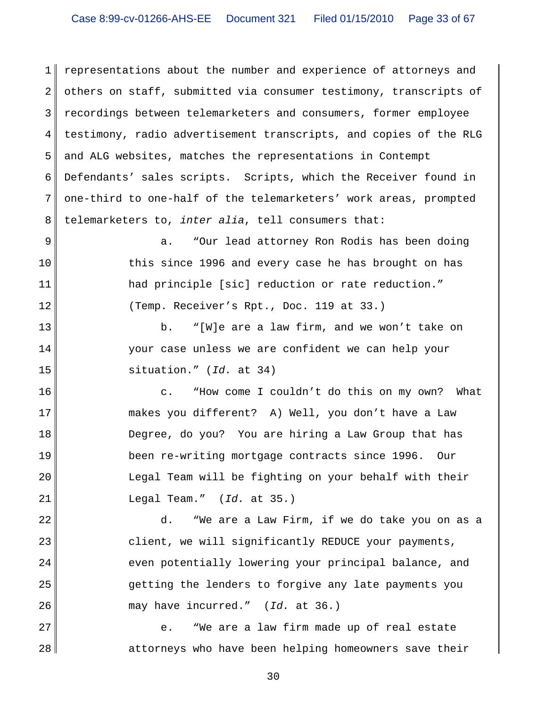1 2 3 4 5 6 7 8 representations about the number and experience of attorneys and others on staff, submitted via consumer testimony, transcripts of recordings between telemarketers and consumers, former employee testimony, radio advertisement transcripts, and copies of the RLG and ALG websites, matches the representations in Contempt Defendants' sales scripts. Scripts, which the Receiver found in one-third to one-half of the telemarketers' work areas, prompted telemarketers to, *inter alia*, tell consumers that:

9 10 11 12 a. "Our lead attorney Ron Rodis has been doing this since 1996 and every case he has brought on has had principle [sic] reduction or rate reduction." (Temp. Receiver's Rpt., Doc. 119 at 33.)

b. "[W]e are a law firm, and we won't take on your case unless we are confident we can help your situation." (*Id.* at 34)

13

14

15

22

23

24

25

26

16 17 18 19 20 21 c. "How come I couldn't do this on my own? What makes you different? A) Well, you don't have a Law Degree, do you? You are hiring a Law Group that has been re-writing mortgage contracts since 1996. Our Legal Team will be fighting on your behalf with their Legal Team." (*Id.* at 35.)

d. "We are a Law Firm, if we do take you on as a client, we will significantly REDUCE your payments, even potentially lowering your principal balance, and getting the lenders to forgive any late payments you may have incurred." (*Id.* at 36.)

27 28 e. "We are a law firm made up of real estate attorneys who have been helping homeowners save their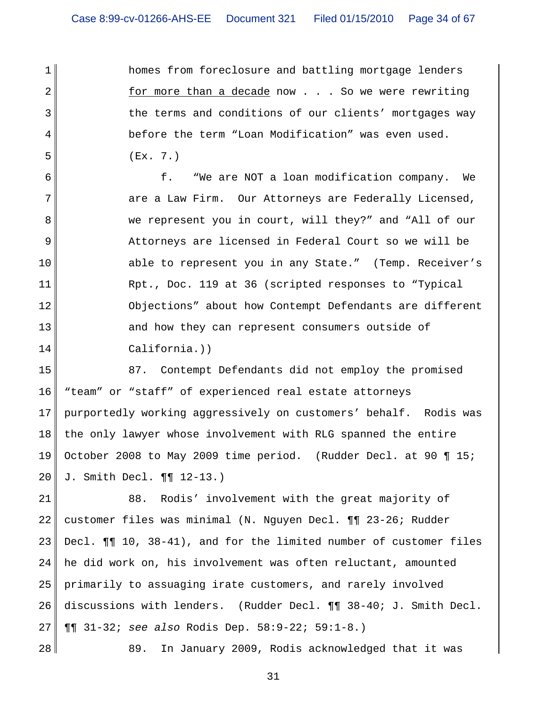homes from foreclosure and battling mortgage lenders for more than a decade now . . . So we were rewriting the terms and conditions of our clients' mortgages way before the term "Loan Modification" was even used. (Ex. 7.)

6 7 8 9 10 11 12 13 14 f. "We are NOT a loan modification company. We are a Law Firm. Our Attorneys are Federally Licensed, we represent you in court, will they?" and "All of our Attorneys are licensed in Federal Court so we will be able to represent you in any State." (Temp. Receiver's Rpt., Doc. 119 at 36 (scripted responses to "Typical Objections" about how Contempt Defendants are different and how they can represent consumers outside of California.))

15 16 17 18 19 20 87. Contempt Defendants did not employ the promised "team" or "staff" of experienced real estate attorneys purportedly working aggressively on customers' behalf. Rodis was the only lawyer whose involvement with RLG spanned the entire October 2008 to May 2009 time period. (Rudder Decl. at 90 ¶ 15; J. Smith Decl. ¶¶ 12-13.)

21 22 23 24 25 26 27 88. Rodis' involvement with the great majority of customer files was minimal (N. Nguyen Decl. ¶¶ 23-26; Rudder Decl. ¶¶ 10, 38-41), and for the limited number of customer files he did work on, his involvement was often reluctant, amounted primarily to assuaging irate customers, and rarely involved discussions with lenders. (Rudder Decl. ¶¶ 38-40; J. Smith Decl. ¶¶ 31-32; *see also* Rodis Dep. 58:9-22; 59:1-8.)

28

1

2

3

4

5

89. In January 2009, Rodis acknowledged that it was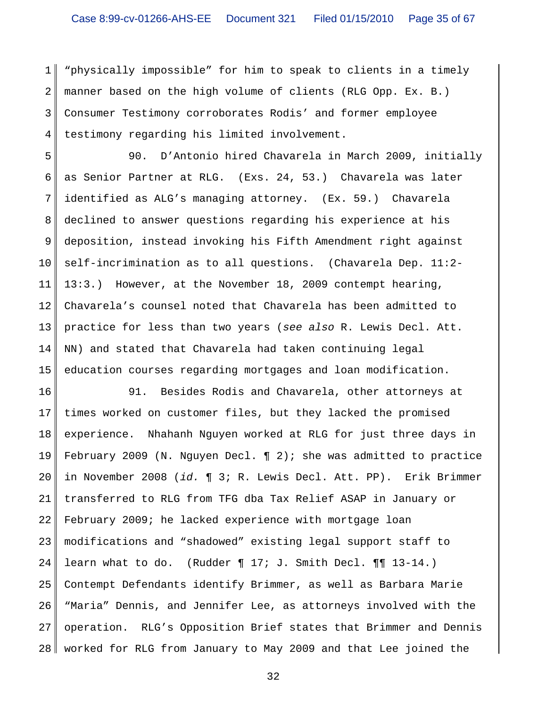1 2 3 4 "physically impossible" for him to speak to clients in a timely manner based on the high volume of clients (RLG Opp. Ex. B.) Consumer Testimony corroborates Rodis' and former employee testimony regarding his limited involvement.

5 6 7 8 9 10 11 12 13 14 15 90. D'Antonio hired Chavarela in March 2009, initially as Senior Partner at RLG. (Exs. 24, 53.) Chavarela was later identified as ALG's managing attorney. (Ex. 59.) Chavarela declined to answer questions regarding his experience at his deposition, instead invoking his Fifth Amendment right against self-incrimination as to all questions. (Chavarela Dep. 11:2- 13:3.) However, at the November 18, 2009 contempt hearing, Chavarela's counsel noted that Chavarela has been admitted to practice for less than two years (*see also* R. Lewis Decl. Att. NN) and stated that Chavarela had taken continuing legal education courses regarding mortgages and loan modification.

16 17 18 19 20 21 22 23 24 25 26 27 28 91. Besides Rodis and Chavarela, other attorneys at times worked on customer files, but they lacked the promised experience. Nhahanh Nguyen worked at RLG for just three days in February 2009 (N. Nguyen Decl.  $\P$  2); she was admitted to practice in November 2008 (*id.* ¶ 3; R. Lewis Decl. Att. PP). Erik Brimmer transferred to RLG from TFG dba Tax Relief ASAP in January or February 2009; he lacked experience with mortgage loan modifications and "shadowed" existing legal support staff to learn what to do. (Rudder ¶ 17; J. Smith Decl. ¶¶ 13-14.) Contempt Defendants identify Brimmer, as well as Barbara Marie "Maria" Dennis, and Jennifer Lee, as attorneys involved with the operation. RLG's Opposition Brief states that Brimmer and Dennis worked for RLG from January to May 2009 and that Lee joined the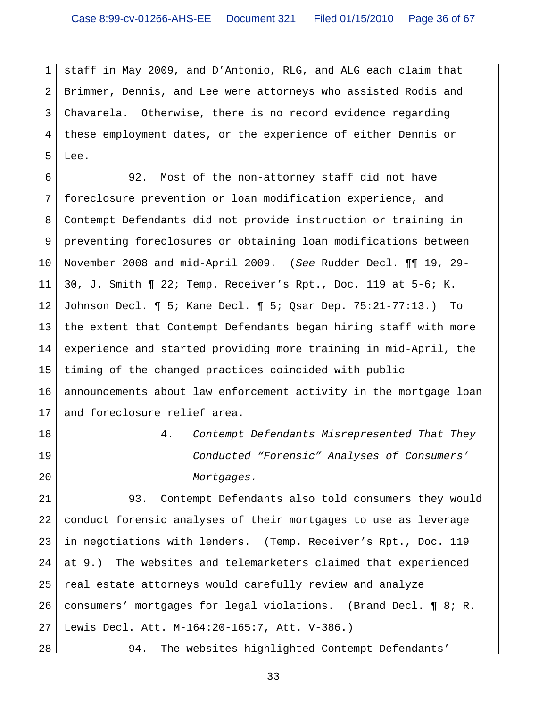1 2 3 4 5 staff in May 2009, and D'Antonio, RLG, and ALG each claim that Brimmer, Dennis, and Lee were attorneys who assisted Rodis and Chavarela. Otherwise, there is no record evidence regarding these employment dates, or the experience of either Dennis or Lee.

6 7 8 9 10 11 12 13 14 15 16 17 92. Most of the non-attorney staff did not have foreclosure prevention or loan modification experience, and Contempt Defendants did not provide instruction or training in preventing foreclosures or obtaining loan modifications between November 2008 and mid-April 2009. (*See* Rudder Decl. ¶¶ 19, 29- 30, J. Smith ¶ 22; Temp. Receiver's Rpt., Doc. 119 at 5-6; K. Johnson Decl. ¶ 5; Kane Decl. ¶ 5; Qsar Dep. 75:21-77:13.) To the extent that Contempt Defendants began hiring staff with more experience and started providing more training in mid-April, the timing of the changed practices coincided with public announcements about law enforcement activity in the mortgage loan and foreclosure relief area.

18

19 20 4. *Contempt Defendants Misrepresented That They Conducted "Forensic" Analyses of Consumers' Mortgages.*

21 22 23 24 25 26 27 93. Contempt Defendants also told consumers they would conduct forensic analyses of their mortgages to use as leverage in negotiations with lenders. (Temp. Receiver's Rpt., Doc. 119 at 9.) The websites and telemarketers claimed that experienced real estate attorneys would carefully review and analyze consumers' mortgages for legal violations. (Brand Decl. ¶ 8; R. Lewis Decl. Att. M-164:20-165:7, Att. V-386.)

28

94. The websites highlighted Contempt Defendants'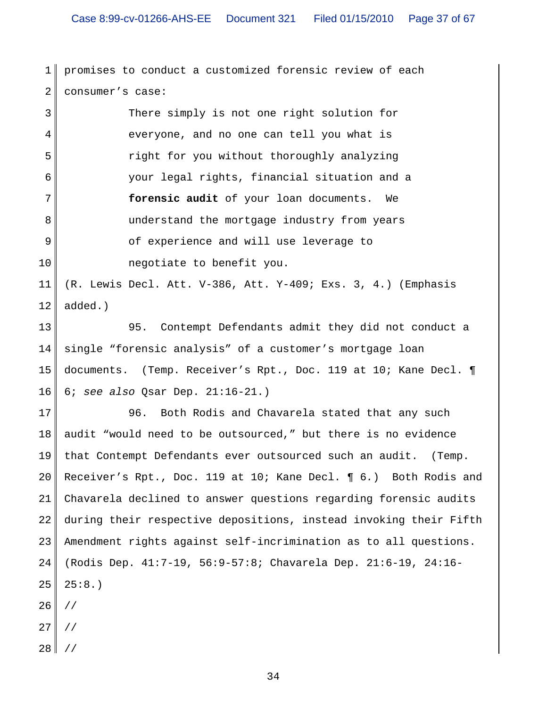1 2 promises to conduct a customized forensic review of each consumer's case:

3 4 5 6 7 8 9 10 There simply is not one right solution for everyone, and no one can tell you what is right for you without thoroughly analyzing your legal rights, financial situation and a **forensic audit** of your loan documents. We understand the mortgage industry from years of experience and will use leverage to negotiate to benefit you.

11 12 (R. Lewis Decl. Att. V-386, Att. Y-409; Exs. 3, 4.) (Emphasis added.)

13 14 15 16 95. Contempt Defendants admit they did not conduct a single "forensic analysis" of a customer's mortgage loan documents. (Temp. Receiver's Rpt., Doc. 119 at 10; Kane Decl. ¶ 6; *see also* Qsar Dep. 21:16-21.)

17 18 19 20 21 22 23 24 25 26 96. Both Rodis and Chavarela stated that any such audit "would need to be outsourced," but there is no evidence that Contempt Defendants ever outsourced such an audit. (Temp. Receiver's Rpt., Doc. 119 at 10; Kane Decl. ¶ 6*.*) Both Rodis and Chavarela declined to answer questions regarding forensic audits during their respective depositions, instead invoking their Fifth Amendment rights against self-incrimination as to all questions. (Rodis Dep. 41:7-19, 56:9-57:8; Chavarela Dep. 21:6-19, 24:16-  $25:8.$ ) //

- 27 //
- 
- 28 //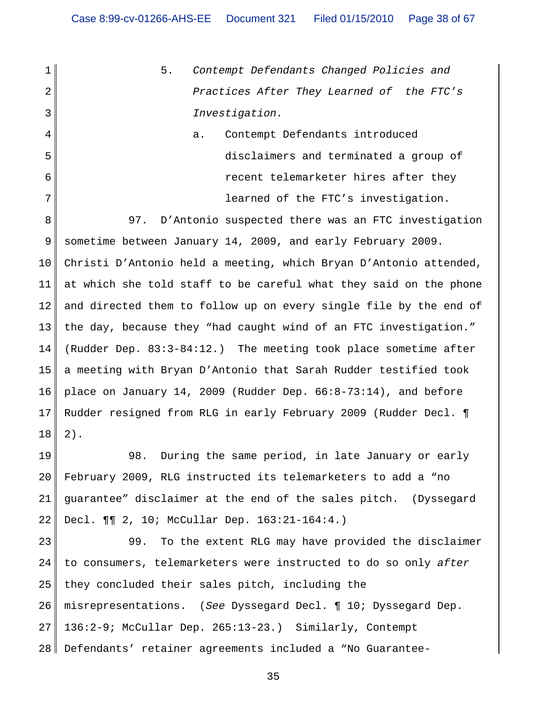1 2 3 5. *Contempt Defendants Changed Policies and Practices After They Learned of the FTC's Investigation.*

4 5 6 7 a. Contempt Defendants introduced disclaimers and terminated a group of recent telemarketer hires after they learned of the FTC's investigation.

8 9 10 11 12 13 14 15 16 17 18 97. D'Antonio suspected there was an FTC investigation sometime between January 14, 2009, and early February 2009. Christi D'Antonio held a meeting, which Bryan D'Antonio attended, at which she told staff to be careful what they said on the phone and directed them to follow up on every single file by the end of the day, because they "had caught wind of an FTC investigation." (Rudder Dep. 83:3-84:12.) The meeting took place sometime after a meeting with Bryan D'Antonio that Sarah Rudder testified took place on January 14, 2009 (Rudder Dep. 66:8-73:14), and before Rudder resigned from RLG in early February 2009 (Rudder Decl. ¶ 2).

19 20 21 22 98. During the same period, in late January or early February 2009, RLG instructed its telemarketers to add a "no guarantee" disclaimer at the end of the sales pitch. (Dyssegard Decl. ¶¶ 2, 10; McCullar Dep. 163:21-164:4.)

23 24 25 26 27 28 99. To the extent RLG may have provided the disclaimer to consumers, telemarketers were instructed to do so only *after* they concluded their sales pitch, including the misrepresentations. (*See* Dyssegard Decl. ¶ 10; Dyssegard Dep. 136:2-9; McCullar Dep. 265:13-23.) Similarly, Contempt Defendants' retainer agreements included a "No Guarantee-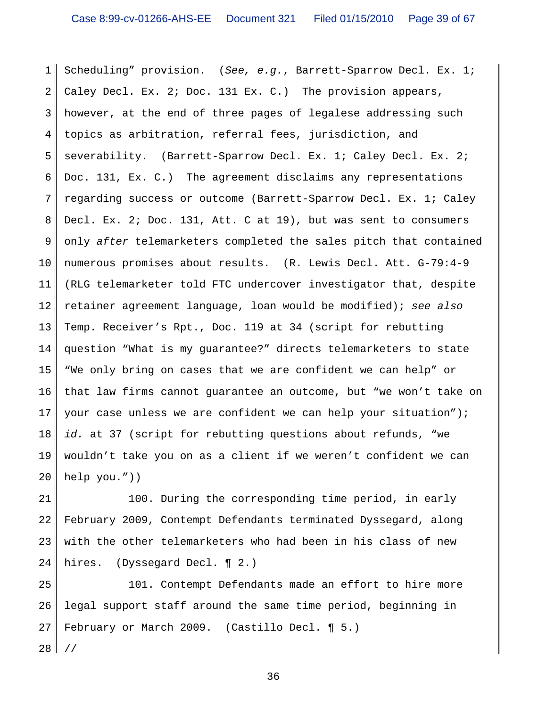1 2 3 4 5 6 7 8 9 10 11 12 13 14 15 16 17 18 19 20 Scheduling" provision. (*See, e.g.*, Barrett-Sparrow Decl. Ex. 1; Caley Decl. Ex. 2; Doc. 131 Ex. C.) The provision appears, however, at the end of three pages of legalese addressing such topics as arbitration, referral fees, jurisdiction, and severability. (Barrett-Sparrow Decl. Ex. 1; Caley Decl. Ex. 2; Doc. 131, Ex. C.) The agreement disclaims any representations regarding success or outcome (Barrett-Sparrow Decl. Ex. 1; Caley Decl. Ex. 2; Doc. 131, Att. C at 19), but was sent to consumers only *after* telemarketers completed the sales pitch that contained numerous promises about results. (R. Lewis Decl. Att. G-79:4-9 (RLG telemarketer told FTC undercover investigator that, despite retainer agreement language, loan would be modified); *see also* Temp. Receiver's Rpt., Doc. 119 at 34 (script for rebutting question "What is my guarantee?" directs telemarketers to state "We only bring on cases that we are confident we can help" or that law firms cannot guarantee an outcome, but "we won't take on your case unless we are confident we can help your situation"); *id.* at 37 (script for rebutting questions about refunds, "we wouldn't take you on as a client if we weren't confident we can help you."))

21 22 23 24 100. During the corresponding time period, in early February 2009, Contempt Defendants terminated Dyssegard, along with the other telemarketers who had been in his class of new hires. (Dyssegard Decl. ¶ 2.)

25 26 27 101. Contempt Defendants made an effort to hire more legal support staff around the same time period, beginning in February or March 2009. (Castillo Decl. ¶ 5.)

28 //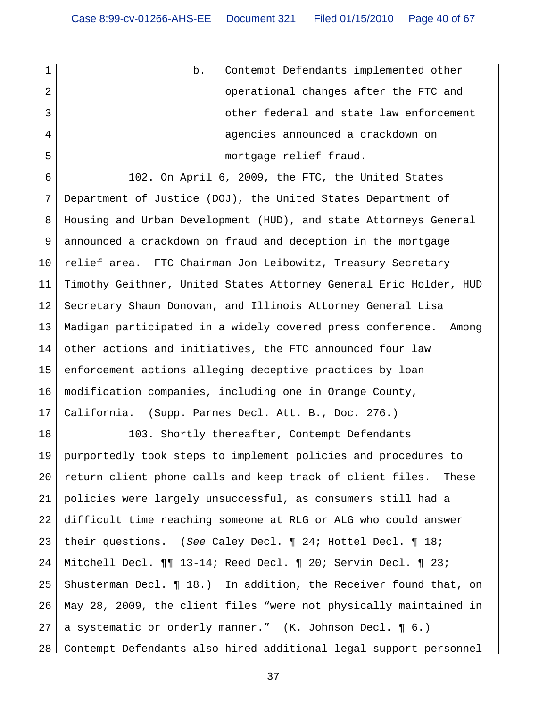1 2 3 4 5 b. Contempt Defendants implemented other operational changes after the FTC and other federal and state law enforcement agencies announced a crackdown on mortgage relief fraud.

6 7 8 9 10 11 12 13 14 15 16 17 102. On April 6, 2009, the FTC, the United States Department of Justice (DOJ), the United States Department of Housing and Urban Development (HUD), and state Attorneys General announced a crackdown on fraud and deception in the mortgage relief area. FTC Chairman Jon Leibowitz, Treasury Secretary Timothy Geithner, United States Attorney General Eric Holder, HUD Secretary Shaun Donovan, and Illinois Attorney General Lisa Madigan participated in a widely covered press conference. Among other actions and initiatives, the FTC announced four law enforcement actions alleging deceptive practices by loan modification companies, including one in Orange County, California. (Supp. Parnes Decl. Att. B., Doc. 276.)

18 19 20 21 22 23 24 25 26 27 28 103. Shortly thereafter, Contempt Defendants purportedly took steps to implement policies and procedures to return client phone calls and keep track of client files. These policies were largely unsuccessful, as consumers still had a difficult time reaching someone at RLG or ALG who could answer their questions. (*See* Caley Decl. ¶ 24; Hottel Decl. ¶ 18; Mitchell Decl. ¶¶ 13-14; Reed Decl. ¶ 20; Servin Decl. ¶ 23; Shusterman Decl. ¶ 18.) In addition, the Receiver found that, on May 28, 2009, the client files "were not physically maintained in a systematic or orderly manner." (K. Johnson Decl. ¶ 6.) Contempt Defendants also hired additional legal support personnel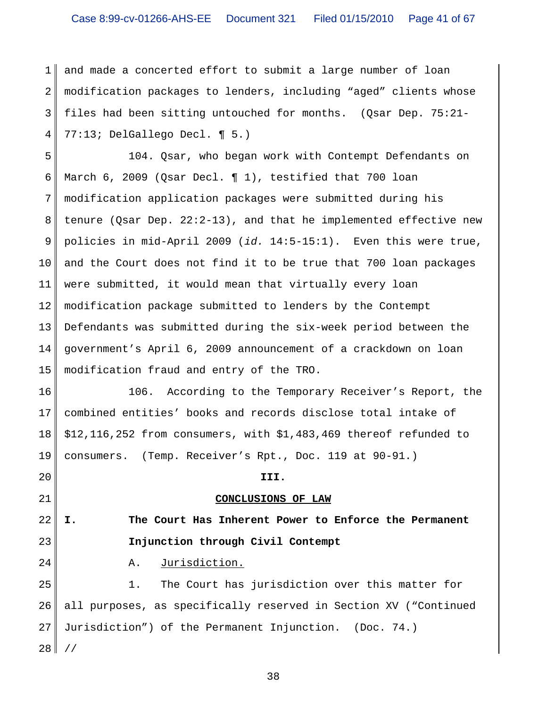1 2 3 4 and made a concerted effort to submit a large number of loan modification packages to lenders, including "aged" clients whose files had been sitting untouched for months. (Qsar Dep. 75:21- 77:13; DelGallego Decl. ¶ 5.)

5 6 7 8 9 10 11 12 13 14 15 104. Qsar, who began work with Contempt Defendants on March 6, 2009 (Qsar Decl. ¶ 1), testified that 700 loan modification application packages were submitted during his tenure (Qsar Dep. 22:2-13), and that he implemented effective new policies in mid-April 2009 (*id.* 14:5-15:1). Even this were true, and the Court does not find it to be true that 700 loan packages were submitted, it would mean that virtually every loan modification package submitted to lenders by the Contempt Defendants was submitted during the six-week period between the government's April 6, 2009 announcement of a crackdown on loan modification fraud and entry of the TRO.

16 17 18 19 106. According to the Temporary Receiver's Report, the combined entities' books and records disclose total intake of \$12,116,252 from consumers, with \$1,483,469 thereof refunded to consumers. (Temp. Receiver's Rpt., Doc. 119 at 90-91.)

# **CONCLUSIONS OF LAW**

**III.**

22 23 **I. The Court Has Inherent Power to Enforce the Permanent Injunction through Civil Contempt**

A. Jurisdiction.

20

21

24

25 26 27 28 1. The Court has jurisdiction over this matter for all purposes, as specifically reserved in Section XV ("Continued Jurisdiction") of the Permanent Injunction. (Doc. 74.) //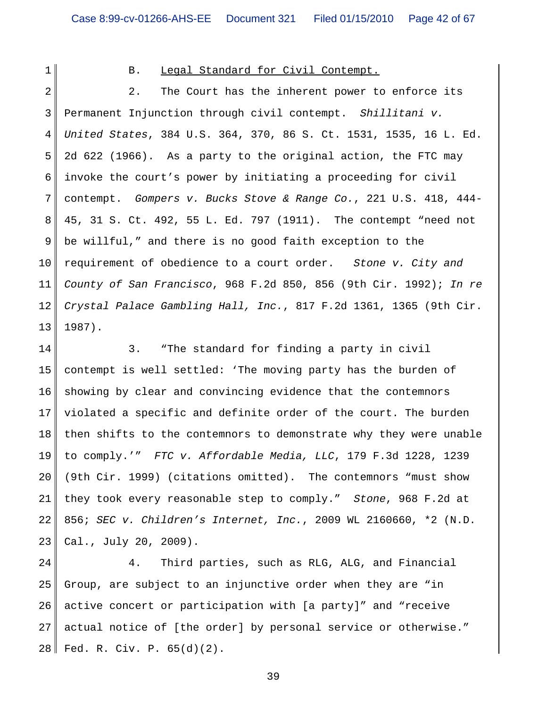1

#### B. Legal Standard for Civil Contempt.

2 3 4 5 6 7 8 9 10 11 12 13 2. The Court has the inherent power to enforce its Permanent Injunction through civil contempt. *Shillitani v. United States*, 384 U.S. 364, 370, 86 S. Ct. 1531, 1535, 16 L. Ed. 2d 622 (1966). As a party to the original action, the FTC may invoke the court's power by initiating a proceeding for civil contempt. *Gompers v. Bucks Stove & Range Co.*, 221 U.S. 418, 444- 45, 31 S. Ct. 492, 55 L. Ed. 797 (1911). The contempt "need not be willful," and there is no good faith exception to the requirement of obedience to a court order. *Stone v. City and County of San Francisco*, 968 F.2d 850, 856 (9th Cir. 1992); *In re Crystal Palace Gambling Hall, Inc.*, 817 F.2d 1361, 1365 (9th Cir. 1987).

14 15 16 17 18 19 20 21 22 23 3. "The standard for finding a party in civil contempt is well settled: 'The moving party has the burden of showing by clear and convincing evidence that the contemnors violated a specific and definite order of the court. The burden then shifts to the contemnors to demonstrate why they were unable to comply.'" *FTC v. Affordable Media, LLC*, 179 F.3d 1228, 1239 (9th Cir. 1999) (citations omitted). The contemnors "must show they took every reasonable step to comply." *Stone*, 968 F.2d at 856; *SEC v. Children's Internet, Inc.*, 2009 WL 2160660, \*2 (N.D. Cal., July 20, 2009).

24 25 26 27 28 4. Third parties, such as RLG, ALG, and Financial Group, are subject to an injunctive order when they are "in active concert or participation with [a party]" and "receive actual notice of [the order] by personal service or otherwise." Fed. R. Civ. P. 65(d)(2).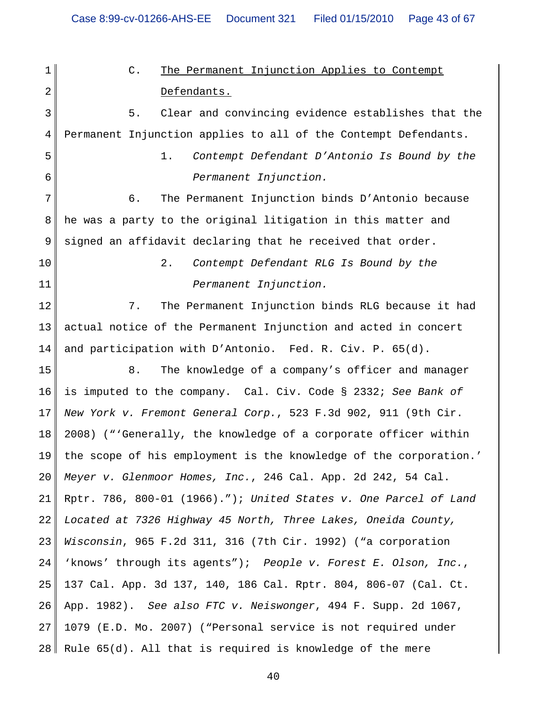1 2 3 4 5 6 7 8 9 10 11 12 13 14 15 16 17 18 19 20 21 22 23 24 25 26 27 28 C. The Permanent Injunction Applies to Contempt Defendants. 5. Clear and convincing evidence establishes that the Permanent Injunction applies to all of the Contempt Defendants. 1. *Contempt Defendant D'Antonio Is Bound by the Permanent Injunction.* 6. The Permanent Injunction binds D'Antonio because he was a party to the original litigation in this matter and signed an affidavit declaring that he received that order. 2. *Contempt Defendant RLG Is Bound by the Permanent Injunction.* 7. The Permanent Injunction binds RLG because it had actual notice of the Permanent Injunction and acted in concert and participation with D'Antonio. Fed. R. Civ. P. 65(d). 8. The knowledge of a company's officer and manager is imputed to the company. Cal. Civ. Code § 2332; *See Bank of New York v. Fremont General Corp.*, 523 F.3d 902, 911 (9th Cir. 2008) ("'Generally, the knowledge of a corporate officer within the scope of his employment is the knowledge of the corporation.' *Meyer v. Glenmoor Homes, Inc.*, 246 Cal. App. 2d 242, 54 Cal. Rptr. 786, 800-01 (1966)."); *United States v. One Parcel of Land Located at 7326 Highway 45 North, Three Lakes, Oneida County, Wisconsin*, 965 F.2d 311, 316 (7th Cir. 1992) ("a corporation 'knows' through its agents"); *People v. Forest E. Olson, Inc.*, 137 Cal. App. 3d 137, 140, 186 Cal. Rptr. 804, 806-07 (Cal. Ct. App. 1982). *See also FTC v. Neiswonger*, 494 F. Supp. 2d 1067, 1079 (E.D. Mo. 2007) ("Personal service is not required under Rule 65(d). All that is required is knowledge of the mere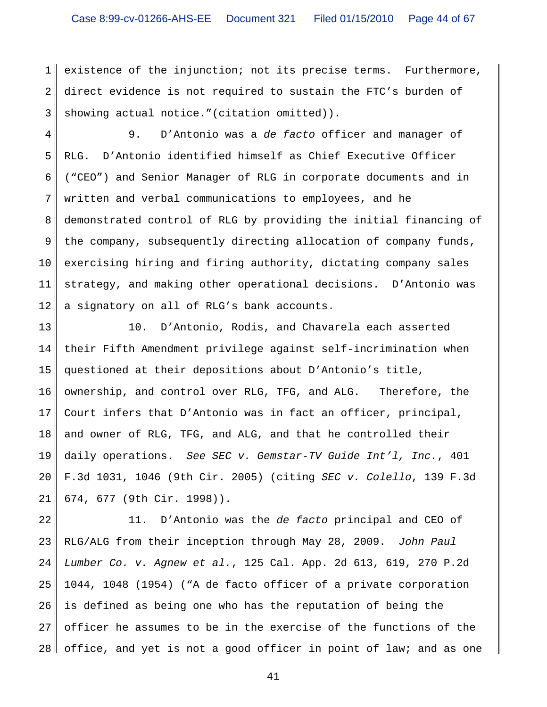#### Case 8:99-cv-01266-AHS-EE Document 321 Filed 01/15/2010 Page 44 of 67

1 2 3 existence of the injunction; not its precise terms. Furthermore, direct evidence is not required to sustain the FTC's burden of showing actual notice."(citation omitted)).

4 5 6 7 8 9 10 11 12 9. D'Antonio was a *de facto* officer and manager of RLG. D'Antonio identified himself as Chief Executive Officer ("CEO") and Senior Manager of RLG in corporate documents and in written and verbal communications to employees, and he demonstrated control of RLG by providing the initial financing of the company, subsequently directing allocation of company funds, exercising hiring and firing authority, dictating company sales strategy, and making other operational decisions. D'Antonio was a signatory on all of RLG's bank accounts.

13 14 15 16 17 18 19 20 21 10. D'Antonio, Rodis, and Chavarela each asserted their Fifth Amendment privilege against self-incrimination when questioned at their depositions about D'Antonio's title, ownership, and control over RLG, TFG, and ALG. Therefore, the Court infers that D'Antonio was in fact an officer, principal, and owner of RLG, TFG, and ALG, and that he controlled their daily operations. *See SEC v. Gemstar-TV Guide Int'l, Inc.*, 401 F.3d 1031, 1046 (9th Cir. 2005) (citing *SEC v. Colello*, 139 F.3d 674, 677 (9th Cir. 1998)).

22 23 24 25 26 27 28 11. D'Antonio was the *de facto* principal and CEO of RLG/ALG from their inception through May 28, 2009. *John Paul Lumber Co. v. Agnew et al.*, 125 Cal. App. 2d 613, 619, 270 P.2d 1044, 1048 (1954) ("A de facto officer of a private corporation is defined as being one who has the reputation of being the officer he assumes to be in the exercise of the functions of the office, and yet is not a good officer in point of law; and as one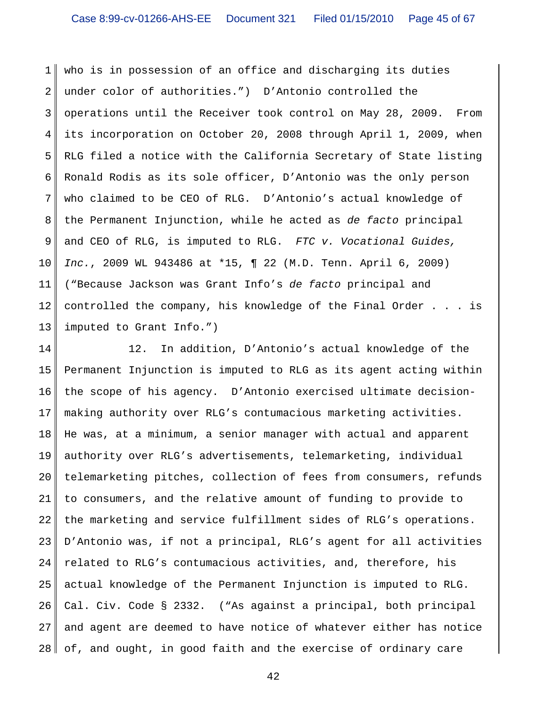1 2 3 4 5 6 7 8 9 10 11 12 13 who is in possession of an office and discharging its duties under color of authorities.") D'Antonio controlled the operations until the Receiver took control on May 28, 2009. From its incorporation on October 20, 2008 through April 1, 2009, when RLG filed a notice with the California Secretary of State listing Ronald Rodis as its sole officer, D'Antonio was the only person who claimed to be CEO of RLG. D'Antonio's actual knowledge of the Permanent Injunction, while he acted as *de facto* principal and CEO of RLG, is imputed to RLG. *FTC v. Vocational Guides, Inc.*, 2009 WL 943486 at \*15, ¶ 22 (M.D. Tenn. April 6, 2009) ("Because Jackson was Grant Info's *de facto* principal and controlled the company, his knowledge of the Final Order . . . is imputed to Grant Info.")

14 15 16 17 18 19 20 21 22 23 24 25 26 27 28 12. In addition, D'Antonio's actual knowledge of the Permanent Injunction is imputed to RLG as its agent acting within the scope of his agency. D'Antonio exercised ultimate decisionmaking authority over RLG's contumacious marketing activities. He was, at a minimum, a senior manager with actual and apparent authority over RLG's advertisements, telemarketing, individual telemarketing pitches, collection of fees from consumers, refunds to consumers, and the relative amount of funding to provide to the marketing and service fulfillment sides of RLG's operations. D'Antonio was, if not a principal, RLG's agent for all activities related to RLG's contumacious activities, and, therefore, his actual knowledge of the Permanent Injunction is imputed to RLG. Cal. Civ. Code § 2332. ("As against a principal, both principal and agent are deemed to have notice of whatever either has notice of, and ought, in good faith and the exercise of ordinary care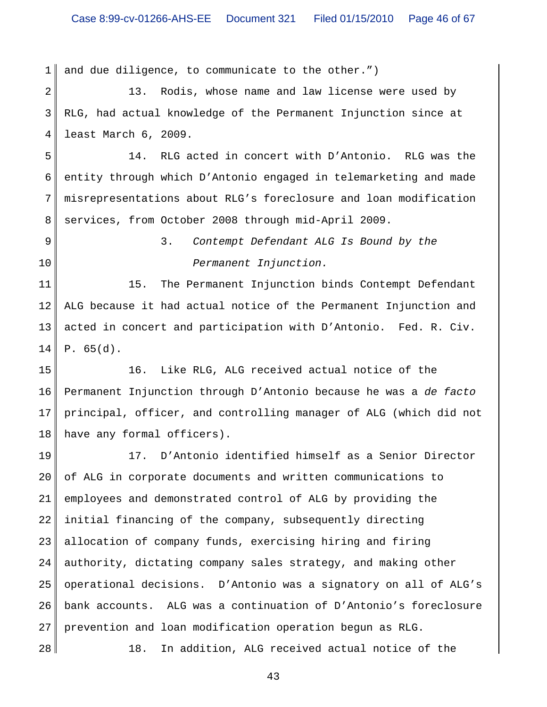1 and due diligence, to communicate to the other.")

2 3 4 13. Rodis, whose name and law license were used by RLG, had actual knowledge of the Permanent Injunction since at least March 6, 2009.

5 6 7 8 14. RLG acted in concert with D'Antonio. RLG was the entity through which D'Antonio engaged in telemarketing and made misrepresentations about RLG's foreclosure and loan modification services, from October 2008 through mid-April 2009.

- 9
- 10

28

3. *Contempt Defendant ALG Is Bound by the Permanent Injunction.*

11 12 13 14 15. The Permanent Injunction binds Contempt Defendant ALG because it had actual notice of the Permanent Injunction and acted in concert and participation with D'Antonio. Fed. R. Civ. P. 65(d).

15 16 17 18 16. Like RLG, ALG received actual notice of the Permanent Injunction through D'Antonio because he was a *de facto* principal, officer, and controlling manager of ALG (which did not have any formal officers).

19 20 21 22 23 24 25 26 27 17. D'Antonio identified himself as a Senior Director of ALG in corporate documents and written communications to employees and demonstrated control of ALG by providing the initial financing of the company, subsequently directing allocation of company funds, exercising hiring and firing authority, dictating company sales strategy, and making other operational decisions. D'Antonio was a signatory on all of ALG's bank accounts. ALG was a continuation of D'Antonio's foreclosure prevention and loan modification operation begun as RLG.

18. In addition, ALG received actual notice of the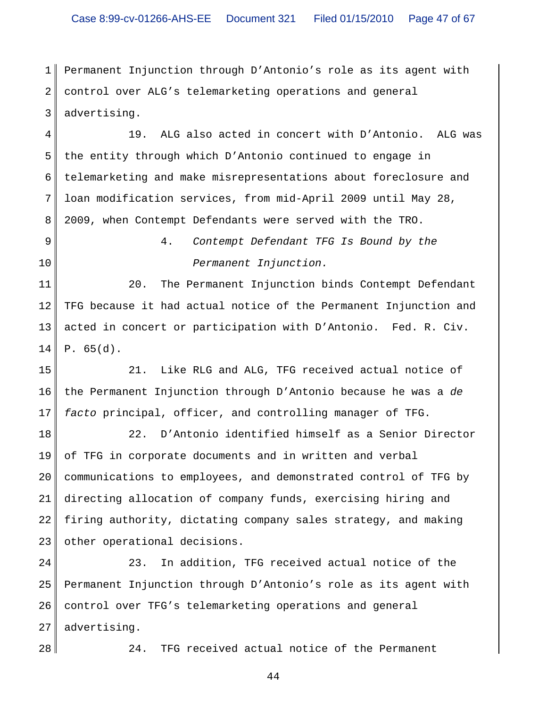1 2 3 Permanent Injunction through D'Antonio's role as its agent with control over ALG's telemarketing operations and general advertising.

4 5 6 7 8 19. ALG also acted in concert with D'Antonio. ALG was the entity through which D'Antonio continued to engage in telemarketing and make misrepresentations about foreclosure and loan modification services, from mid-April 2009 until May 28, 2009, when Contempt Defendants were served with the TRO.

9

10

4. *Contempt Defendant TFG Is Bound by the Permanent Injunction.*

11 12 13 14 20. The Permanent Injunction binds Contempt Defendant TFG because it had actual notice of the Permanent Injunction and acted in concert or participation with D'Antonio. Fed. R. Civ. P. 65(d).

15 16 17 21. Like RLG and ALG, TFG received actual notice of the Permanent Injunction through D'Antonio because he was a *de facto* principal, officer, and controlling manager of TFG.

18 19 20 21 22 23 22. D'Antonio identified himself as a Senior Director of TFG in corporate documents and in written and verbal communications to employees, and demonstrated control of TFG by directing allocation of company funds, exercising hiring and firing authority, dictating company sales strategy, and making other operational decisions.

24 25 26 27 23. In addition, TFG received actual notice of the Permanent Injunction through D'Antonio's role as its agent with control over TFG's telemarketing operations and general advertising.

28

24. TFG received actual notice of the Permanent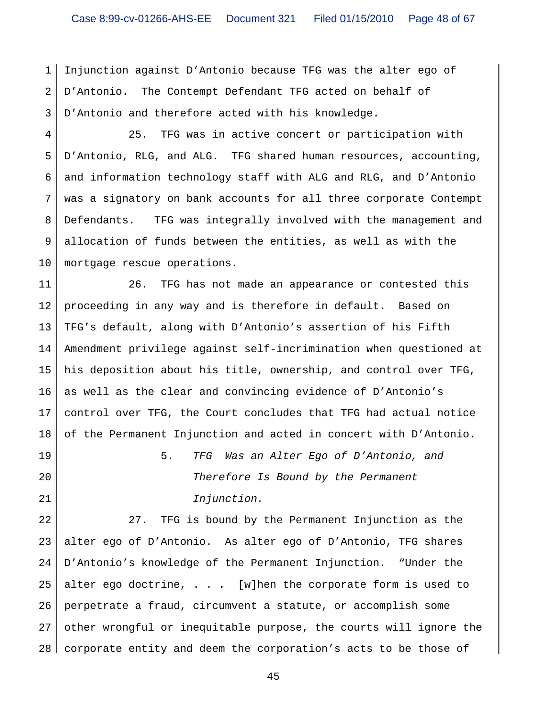1 2 3 Injunction against D'Antonio because TFG was the alter ego of D'Antonio. The Contempt Defendant TFG acted on behalf of D'Antonio and therefore acted with his knowledge.

4 5 6 7 8 9 10 25. TFG was in active concert or participation with D'Antonio, RLG, and ALG. TFG shared human resources, accounting, and information technology staff with ALG and RLG, and D'Antonio was a signatory on bank accounts for all three corporate Contempt Defendants. TFG was integrally involved with the management and allocation of funds between the entities, as well as with the mortgage rescue operations.

11 12 13 14 15 16 17 18 26. TFG has not made an appearance or contested this proceeding in any way and is therefore in default. Based on TFG's default, along with D'Antonio's assertion of his Fifth Amendment privilege against self-incrimination when questioned at his deposition about his title, ownership, and control over TFG, as well as the clear and convincing evidence of D'Antonio's control over TFG, the Court concludes that TFG had actual notice of the Permanent Injunction and acted in concert with D'Antonio.

19

20

21

5. *TFG Was an Alter Ego of D'Antonio, and Therefore Is Bound by the Permanent Injunction.*

22 23 24 25 26 27 28 27. TFG is bound by the Permanent Injunction as the alter ego of D'Antonio. As alter ego of D'Antonio, TFG shares D'Antonio's knowledge of the Permanent Injunction. "Under the alter ego doctrine, . . . [w]hen the corporate form is used to perpetrate a fraud, circumvent a statute, or accomplish some other wrongful or inequitable purpose, the courts will ignore the corporate entity and deem the corporation's acts to be those of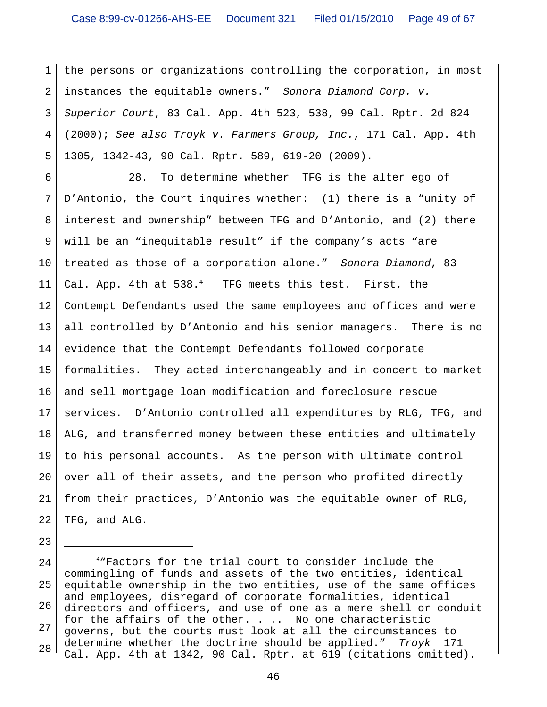1 2 3 4 5 the persons or organizations controlling the corporation, in most instances the equitable owners." *Sonora Diamond Corp. v. Superior Court*, 83 Cal. App. 4th 523, 538, 99 Cal. Rptr. 2d 824 (2000); *See also Troyk v. Farmers Group, Inc.*, 171 Cal. App. 4th 1305, 1342-43, 90 Cal. Rptr. 589, 619-20 (2009).

6 7 8 9 10 11 12 13 14 15 16 17 18 19 20 21 22 28. To determine whether TFG is the alter ego of D'Antonio, the Court inquires whether: (1) there is a "unity of interest and ownership" between TFG and D'Antonio, and (2) there will be an "inequitable result" if the company's acts "are treated as those of a corporation alone." *Sonora Diamond*, 83 Cal. App. 4th at  $538.^4$  TFG meets this test. First, the Contempt Defendants used the same employees and offices and were all controlled by D'Antonio and his senior managers. There is no evidence that the Contempt Defendants followed corporate formalities. They acted interchangeably and in concert to market and sell mortgage loan modification and foreclosure rescue services. D'Antonio controlled all expenditures by RLG, TFG, and ALG, and transferred money between these entities and ultimately to his personal accounts. As the person with ultimate control over all of their assets, and the person who profited directly from their practices, D'Antonio was the equitable owner of RLG, TFG, and ALG.

23

<sup>24</sup> 25 26 27 28 4 "Factors for the trial court to consider include the commingling of funds and assets of the two entities, identical equitable ownership in the two entities, use of the same offices and employees, disregard of corporate formalities, identical directors and officers, and use of one as a mere shell or conduit for the affairs of the other. . .. No one characteristic governs, but the courts must look at all the circumstances to determine whether the doctrine should be applied." *Troyk* 171 Cal. App. 4th at 1342, 90 Cal. Rptr. at 619 (citations omitted).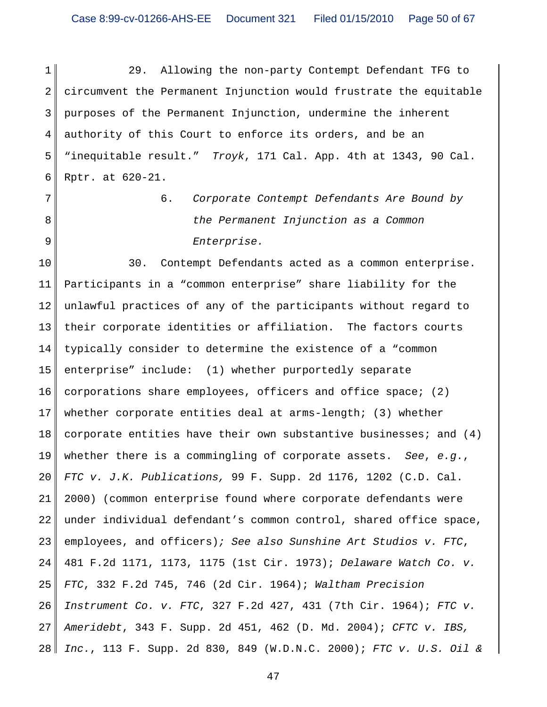1 2 3 4 5 6 29. Allowing the non-party Contempt Defendant TFG to circumvent the Permanent Injunction would frustrate the equitable purposes of the Permanent Injunction, undermine the inherent authority of this Court to enforce its orders, and be an "inequitable result." *Troyk*, 171 Cal. App. 4th at 1343, 90 Cal. Rptr. at 620-21.

7

8

9

6. *Corporate Contempt Defendants Are Bound by the Permanent Injunction as a Common Enterprise.*

10 11 12 13 14 15 16 17 18 19 20 21 22 23 24 25 26 27 28 30. Contempt Defendants acted as a common enterprise. Participants in a "common enterprise" share liability for the unlawful practices of any of the participants without regard to their corporate identities or affiliation. The factors courts typically consider to determine the existence of a "common enterprise" include: (1) whether purportedly separate corporations share employees, officers and office space; (2) whether corporate entities deal at arms-length; (3) whether corporate entities have their own substantive businesses; and  $(4)$ whether there is a commingling of corporate assets. *See*, *e.g*., *FTC v. J.K. Publications,* 99 F. Supp. 2d 1176, 1202 (C.D. Cal. 2000) (common enterprise found where corporate defendants were under individual defendant's common control, shared office space, employees, and officers)*; See also Sunshine Art Studios v. FTC*, 481 F.2d 1171, 1173, 1175 (1st Cir. 1973); *Delaware Watch Co. v. FTC*, 332 F.2d 745, 746 (2d Cir. 1964); *Waltham Precision Instrument Co. v. FTC*, 327 F.2d 427, 431 (7th Cir. 1964); *FTC v. Ameridebt*, 343 F. Supp. 2d 451, 462 (D. Md. 2004); *CFTC v. IBS, Inc.*, 113 F. Supp. 2d 830, 849 (W.D.N.C. 2000); *FTC v. U.S. Oil &*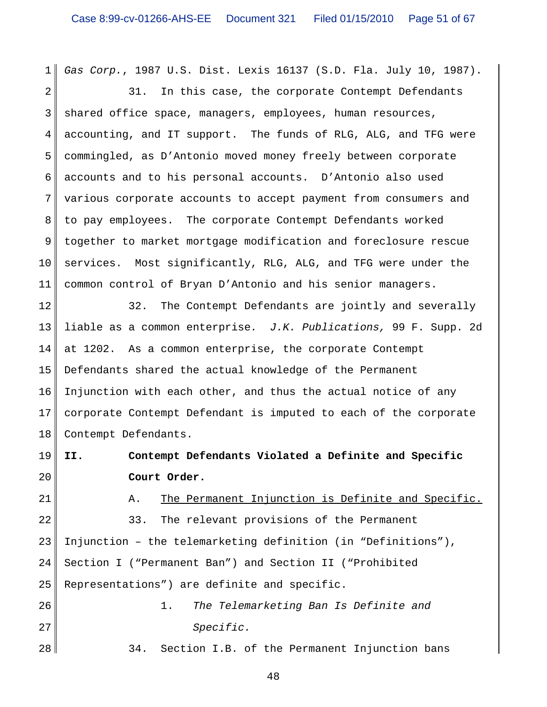1 *Gas Corp.*, 1987 U.S. Dist. Lexis 16137 (S.D. Fla. July 10, 1987).

2 3 4 5 6 7 8 9 10 11 31. In this case, the corporate Contempt Defendants shared office space, managers, employees, human resources, accounting, and IT support. The funds of RLG, ALG, and TFG were commingled, as D'Antonio moved money freely between corporate accounts and to his personal accounts. D'Antonio also used various corporate accounts to accept payment from consumers and to pay employees. The corporate Contempt Defendants worked together to market mortgage modification and foreclosure rescue services. Most significantly, RLG, ALG, and TFG were under the common control of Bryan D'Antonio and his senior managers.

12 13 14 15 16 17 18 32. The Contempt Defendants are jointly and severally liable as a common enterprise*. J.K. Publications,* 99 F. Supp. 2d at 1202. As a common enterprise, the corporate Contempt Defendants shared the actual knowledge of the Permanent Injunction with each other, and thus the actual notice of any corporate Contempt Defendant is imputed to each of the corporate Contempt Defendants.

19 20 **II. Contempt Defendants Violated a Definite and Specific Court Order.**

21

A. The Permanent Injunction is Definite and Specific.

22 23 24 25 26 33. The relevant provisions of the Permanent Injunction – the telemarketing definition (in "Definitions"), Section I ("Permanent Ban") and Section II ("Prohibited Representations") are definite and specific. 1. *The Telemarketing Ban Is Definite and*

*Specific.*

27

28

34. Section I.B. of the Permanent Injunction bans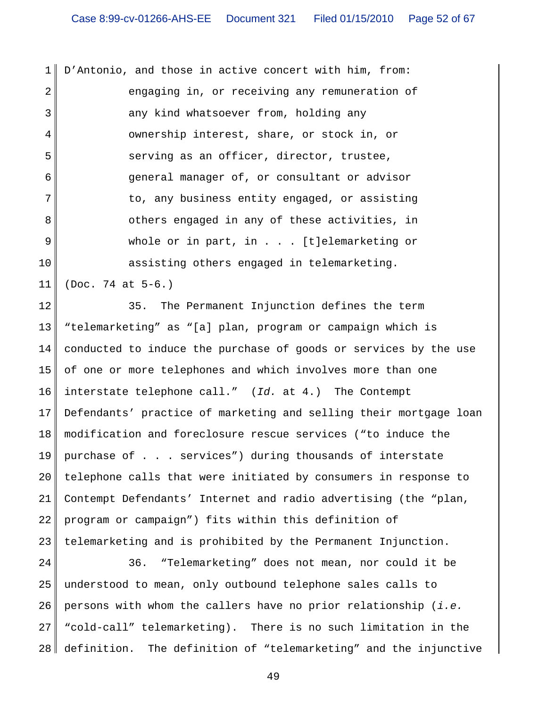1 2 3 4 5 6 7 8 9 10 D'Antonio, and those in active concert with him, from: engaging in, or receiving any remuneration of any kind whatsoever from, holding any ownership interest, share, or stock in, or serving as an officer, director, trustee, general manager of, or consultant or advisor to, any business entity engaged, or assisting others engaged in any of these activities, in whole or in part, in . . . [t]elemarketing or assisting others engaged in telemarketing.

11 (Doc. 74 at 5-6.)

12 13 14 15 16 17 18 19 20 21 22 23 35. The Permanent Injunction defines the term "telemarketing" as "[a] plan, program or campaign which is conducted to induce the purchase of goods or services by the use of one or more telephones and which involves more than one interstate telephone call." (*Id.* at 4.) The Contempt Defendants' practice of marketing and selling their mortgage loan modification and foreclosure rescue services ("to induce the purchase of . . . services") during thousands of interstate telephone calls that were initiated by consumers in response to Contempt Defendants' Internet and radio advertising (the "plan, program or campaign") fits within this definition of telemarketing and is prohibited by the Permanent Injunction.

24 25 26 27 28 36. "Telemarketing" does not mean, nor could it be understood to mean, only outbound telephone sales calls to persons with whom the callers have no prior relationship (*i.e.* "cold-call" telemarketing). There is no such limitation in the definition. The definition of "telemarketing" and the injunctive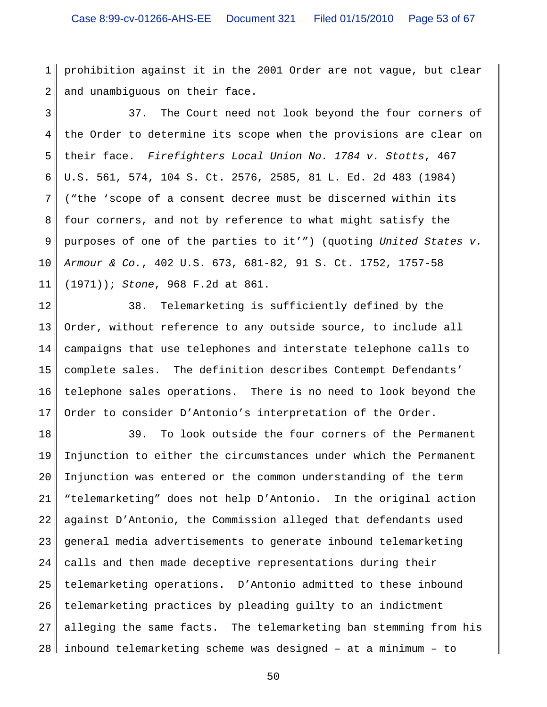1 2 prohibition against it in the 2001 Order are not vague, but clear and unambiguous on their face.

3 4 5 6 7 8 9 10 11 37. The Court need not look beyond the four corners of the Order to determine its scope when the provisions are clear on their face. *Firefighters Local Union No. 1784 v. Stotts*, 467 U.S. 561, 574, 104 S. Ct. 2576, 2585, 81 L. Ed. 2d 483 (1984) ("the 'scope of a consent decree must be discerned within its four corners, and not by reference to what might satisfy the purposes of one of the parties to it'") (quoting *United States v. Armour & Co.*, 402 U.S. 673, 681-82, 91 S. Ct. 1752, 1757-58 (1971)); *Stone*, 968 F.2d at 861.

12 13 14 15 16 17 38. Telemarketing is sufficiently defined by the Order, without reference to any outside source, to include all campaigns that use telephones and interstate telephone calls to complete sales. The definition describes Contempt Defendants' telephone sales operations. There is no need to look beyond the Order to consider D'Antonio's interpretation of the Order.

18 19 20 21 22 23 24 25 26 27 28 39. To look outside the four corners of the Permanent Injunction to either the circumstances under which the Permanent Injunction was entered or the common understanding of the term "telemarketing" does not help D'Antonio. In the original action against D'Antonio, the Commission alleged that defendants used general media advertisements to generate inbound telemarketing calls and then made deceptive representations during their telemarketing operations. D'Antonio admitted to these inbound telemarketing practices by pleading guilty to an indictment alleging the same facts. The telemarketing ban stemming from his inbound telemarketing scheme was designed – at a minimum – to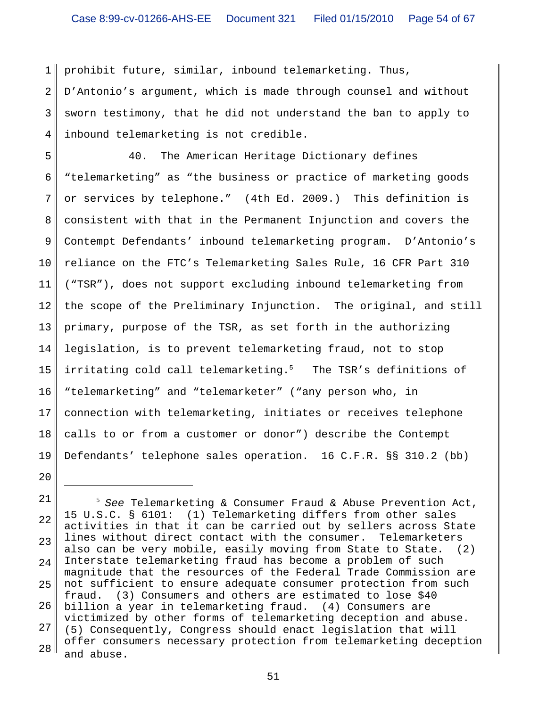1 2 3 4 prohibit future, similar, inbound telemarketing. Thus, D'Antonio's argument, which is made through counsel and without sworn testimony, that he did not understand the ban to apply to inbound telemarketing is not credible.

5 6 7 8 9 10 11 12 13 14 15 16 17 18 19 40. The American Heritage Dictionary defines "telemarketing" as "the business or practice of marketing goods or services by telephone." (4th Ed. 2009.) This definition is consistent with that in the Permanent Injunction and covers the Contempt Defendants' inbound telemarketing program. D'Antonio's reliance on the FTC's Telemarketing Sales Rule, 16 CFR Part 310 ("TSR"), does not support excluding inbound telemarketing from the scope of the Preliminary Injunction. The original, and still primary, purpose of the TSR, as set forth in the authorizing legislation, is to prevent telemarketing fraud, not to stop irritating cold call telemarketing.<sup>5</sup> The TSR's definitions of "telemarketing" and "telemarketer" ("any person who, in connection with telemarketing, initiates or receives telephone calls to or from a customer or donor") describe the Contempt Defendants' telephone sales operation. 16 C.F.R. §§ 310.2 (bb)

<sup>21</sup> 22 23 24 25 26 27 28 5 *See* Telemarketing & Consumer Fraud & Abuse Prevention Act, 15 U.S.C. § 6101: (1) Telemarketing differs from other sales activities in that it can be carried out by sellers across State lines without direct contact with the consumer. Telemarketers also can be very mobile, easily moving from State to State. (2) Interstate telemarketing fraud has become a problem of such magnitude that the resources of the Federal Trade Commission are not sufficient to ensure adequate consumer protection from such fraud. (3) Consumers and others are estimated to lose \$40 billion a year in telemarketing fraud. (4) Consumers are victimized by other forms of telemarketing deception and abuse. (5) Consequently, Congress should enact legislation that will offer consumers necessary protection from telemarketing deception and abuse.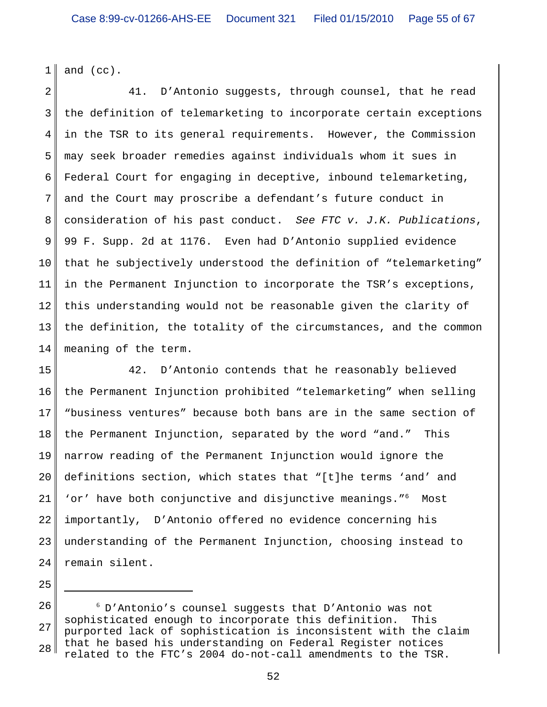1 and (cc).

2 3 4 5 6 7 8 9 10 11 12 13 14 41. D'Antonio suggests, through counsel, that he read the definition of telemarketing to incorporate certain exceptions in the TSR to its general requirements. However, the Commission may seek broader remedies against individuals whom it sues in Federal Court for engaging in deceptive, inbound telemarketing, and the Court may proscribe a defendant's future conduct in consideration of his past conduct. *See FTC v. J.K. Publications*, 99 F. Supp. 2d at 1176. Even had D'Antonio supplied evidence that he subjectively understood the definition of "telemarketing" in the Permanent Injunction to incorporate the TSR's exceptions, this understanding would not be reasonable given the clarity of the definition, the totality of the circumstances, and the common meaning of the term.

15 16 17 18 19 20 21 22 23 24 42. D'Antonio contends that he reasonably believed the Permanent Injunction prohibited "telemarketing" when selling "business ventures" because both bans are in the same section of the Permanent Injunction, separated by the word "and." This narrow reading of the Permanent Injunction would ignore the definitions section, which states that "[t]he terms 'and' and 'or' have both conjunctive and disjunctive meanings."<sup>6</sup> Most importantly, D'Antonio offered no evidence concerning his understanding of the Permanent Injunction, choosing instead to remain silent.

<sup>26</sup> 27 28 6 D'Antonio's counsel suggests that D'Antonio was not sophisticated enough to incorporate this definition. This purported lack of sophistication is inconsistent with the claim that he based his understanding on Federal Register notices related to the FTC's 2004 do-not-call amendments to the TSR.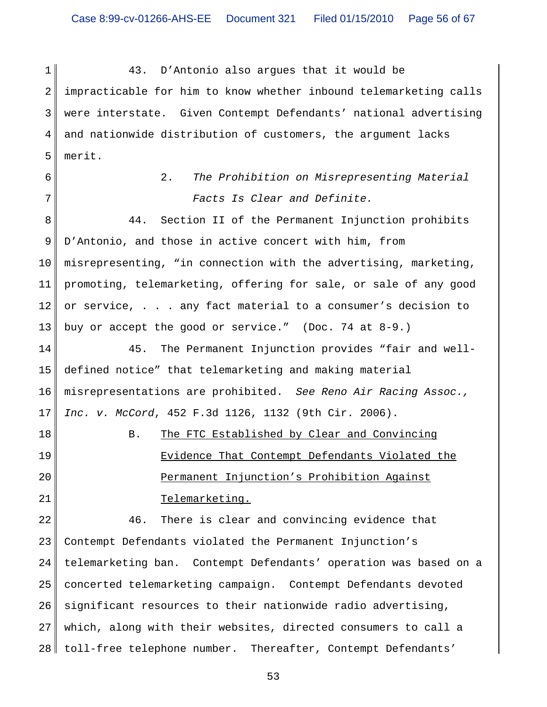1 2 3 4 5 43. D'Antonio also argues that it would be impracticable for him to know whether inbound telemarketing calls were interstate. Given Contempt Defendants' national advertising and nationwide distribution of customers, the argument lacks merit.

6

7

2. *The Prohibition on Misrepresenting Material Facts Is Clear and Definite.*

8 9 10 11 12 13 44. Section II of the Permanent Injunction prohibits D'Antonio, and those in active concert with him, from misrepresenting, "in connection with the advertising, marketing, promoting, telemarketing, offering for sale, or sale of any good or service, . . . any fact material to a consumer's decision to buy or accept the good or service." (Doc. 74 at 8-9.)

14 15 16 17 45. The Permanent Injunction provides "fair and welldefined notice" that telemarketing and making material misrepresentations are prohibited. *See Reno Air Racing Assoc., Inc. v. McCord*, 452 F.3d 1126, 1132 (9th Cir. 2006).

18 19

20

21

## Evidence That Contempt Defendants Violated the Permanent Injunction's Prohibition Against Telemarketing.

B. The FTC Established by Clear and Convincing

22 23 24 25 26 27 28 46. There is clear and convincing evidence that Contempt Defendants violated the Permanent Injunction's telemarketing ban. Contempt Defendants' operation was based on a concerted telemarketing campaign. Contempt Defendants devoted significant resources to their nationwide radio advertising, which, along with their websites, directed consumers to call a toll-free telephone number. Thereafter, Contempt Defendants'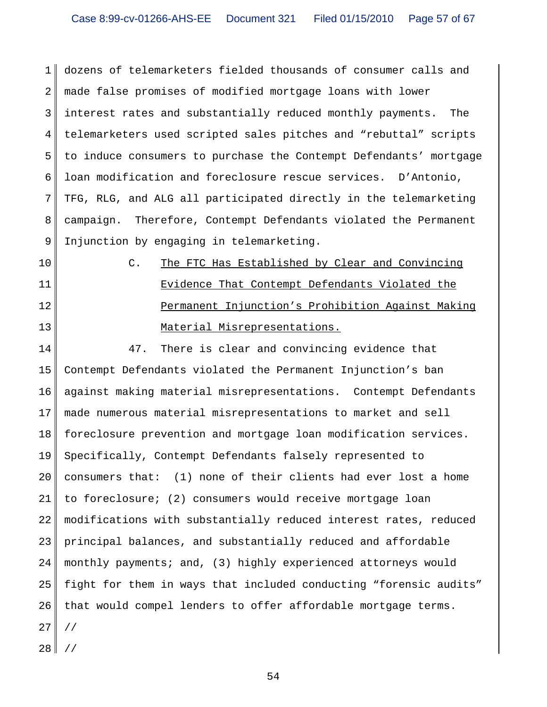1 2 3 4 5 6 7 8 9 dozens of telemarketers fielded thousands of consumer calls and made false promises of modified mortgage loans with lower interest rates and substantially reduced monthly payments. The telemarketers used scripted sales pitches and "rebuttal" scripts to induce consumers to purchase the Contempt Defendants' mortgage loan modification and foreclosure rescue services. D'Antonio, TFG, RLG, and ALG all participated directly in the telemarketing campaign. Therefore, Contempt Defendants violated the Permanent Injunction by engaging in telemarketing.

- 10
- 11 12

13

C. The FTC Has Established by Clear and Convincing Evidence That Contempt Defendants Violated the Permanent Injunction's Prohibition Against Making Material Misrepresentations.

14 15 16 17 18 19 20 21 22 23 24 25 26 27 28 47. There is clear and convincing evidence that Contempt Defendants violated the Permanent Injunction's ban against making material misrepresentations. Contempt Defendants made numerous material misrepresentations to market and sell foreclosure prevention and mortgage loan modification services. Specifically, Contempt Defendants falsely represented to consumers that: (1) none of their clients had ever lost a home to foreclosure; (2) consumers would receive mortgage loan modifications with substantially reduced interest rates, reduced principal balances, and substantially reduced and affordable monthly payments; and, (3) highly experienced attorneys would fight for them in ways that included conducting "forensic audits" that would compel lenders to offer affordable mortgage terms. // //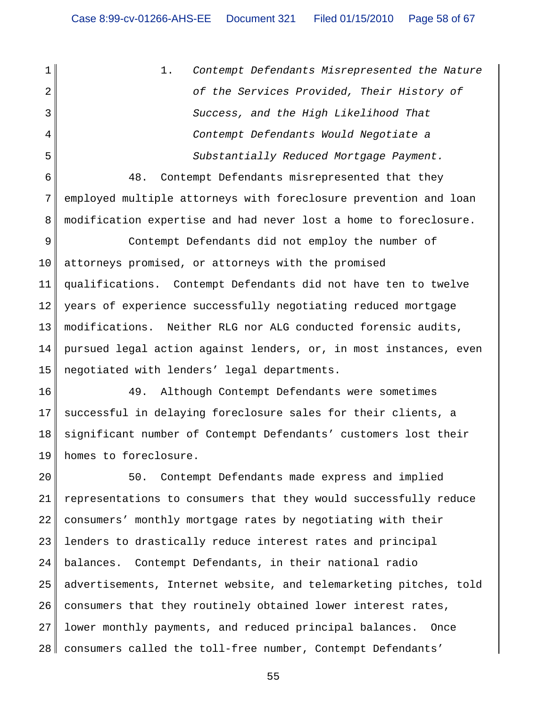1 2 3 4 5 1. *Contempt Defendants Misrepresented the Nature of the Services Provided, Their History of Success, and the High Likelihood That Contempt Defendants Would Negotiate a Substantially Reduced Mortgage Payment.*

6 7 8 48. Contempt Defendants misrepresented that they employed multiple attorneys with foreclosure prevention and loan modification expertise and had never lost a home to foreclosure.

9 10 11 12 13 14 15 Contempt Defendants did not employ the number of attorneys promised, or attorneys with the promised qualifications. Contempt Defendants did not have ten to twelve years of experience successfully negotiating reduced mortgage modifications. Neither RLG nor ALG conducted forensic audits, pursued legal action against lenders, or, in most instances, even negotiated with lenders' legal departments.

16 17 18 19 49. Although Contempt Defendants were sometimes successful in delaying foreclosure sales for their clients, a significant number of Contempt Defendants' customers lost their homes to foreclosure.

20 21 22 23 24 25 26 27 28 50. Contempt Defendants made express and implied representations to consumers that they would successfully reduce consumers' monthly mortgage rates by negotiating with their lenders to drastically reduce interest rates and principal balances. Contempt Defendants, in their national radio advertisements, Internet website, and telemarketing pitches, told consumers that they routinely obtained lower interest rates, lower monthly payments, and reduced principal balances. Once consumers called the toll-free number, Contempt Defendants'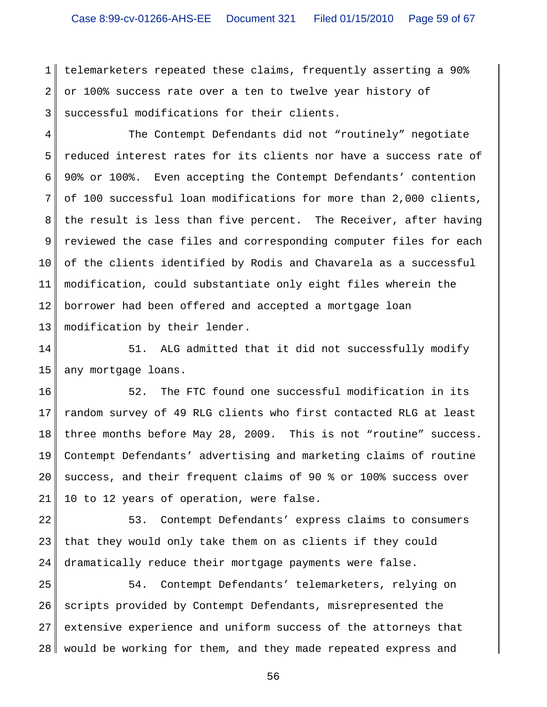1 2 3 telemarketers repeated these claims, frequently asserting a 90% or 100% success rate over a ten to twelve year history of successful modifications for their clients.

4 5 6 7 8 9 10 11 12 13 The Contempt Defendants did not "routinely" negotiate reduced interest rates for its clients nor have a success rate of 90% or 100%. Even accepting the Contempt Defendants' contention of 100 successful loan modifications for more than 2,000 clients, the result is less than five percent. The Receiver, after having reviewed the case files and corresponding computer files for each of the clients identified by Rodis and Chavarela as a successful modification, could substantiate only eight files wherein the borrower had been offered and accepted a mortgage loan modification by their lender.

14 15 51. ALG admitted that it did not successfully modify any mortgage loans.

16 17 18 19 20 21 52. The FTC found one successful modification in its random survey of 49 RLG clients who first contacted RLG at least three months before May 28, 2009. This is not "routine" success. Contempt Defendants' advertising and marketing claims of routine success, and their frequent claims of 90 % or 100% success over 10 to 12 years of operation, were false.

22 23 24 53. Contempt Defendants' express claims to consumers that they would only take them on as clients if they could dramatically reduce their mortgage payments were false.

25 26 27 28 54. Contempt Defendants' telemarketers, relying on scripts provided by Contempt Defendants, misrepresented the extensive experience and uniform success of the attorneys that would be working for them, and they made repeated express and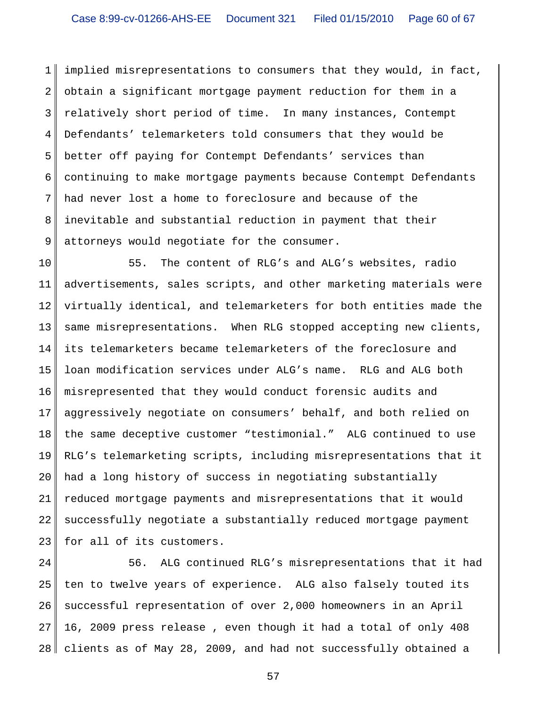1 2 3 4 5 6 7 8 9 implied misrepresentations to consumers that they would, in fact, obtain a significant mortgage payment reduction for them in a relatively short period of time. In many instances, Contempt Defendants' telemarketers told consumers that they would be better off paying for Contempt Defendants' services than continuing to make mortgage payments because Contempt Defendants had never lost a home to foreclosure and because of the inevitable and substantial reduction in payment that their attorneys would negotiate for the consumer.

10 11 12 13 14 15 16 17 18 19 20 21 22 23 55. The content of RLG's and ALG's websites, radio advertisements, sales scripts, and other marketing materials were virtually identical, and telemarketers for both entities made the same misrepresentations. When RLG stopped accepting new clients, its telemarketers became telemarketers of the foreclosure and loan modification services under ALG's name. RLG and ALG both misrepresented that they would conduct forensic audits and aggressively negotiate on consumers' behalf, and both relied on the same deceptive customer "testimonial." ALG continued to use RLG's telemarketing scripts, including misrepresentations that it had a long history of success in negotiating substantially reduced mortgage payments and misrepresentations that it would successfully negotiate a substantially reduced mortgage payment for all of its customers.

24 25 26 27 28 56. ALG continued RLG's misrepresentations that it had ten to twelve years of experience. ALG also falsely touted its successful representation of over 2,000 homeowners in an April 16, 2009 press release , even though it had a total of only 408 clients as of May 28, 2009, and had not successfully obtained a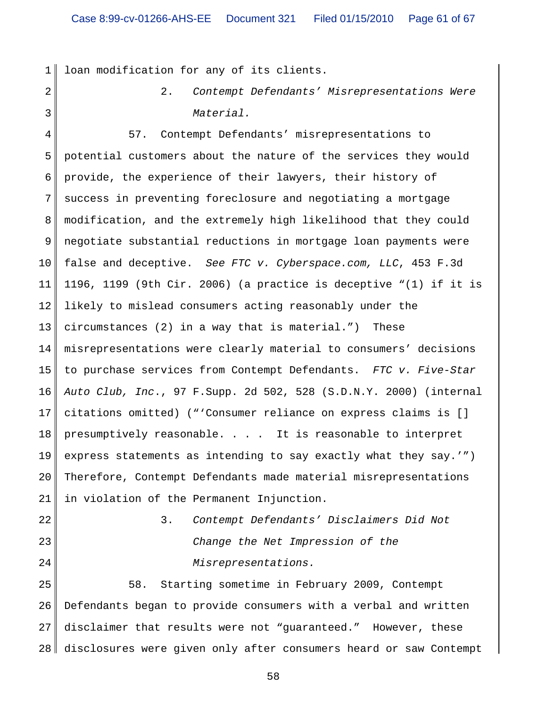1 loan modification for any of its clients.

2

3

2. *Contempt Defendants' Misrepresentations Were Material.*

4 5 6 7 8 9 10 11 12 13 14 15 16 17 18 19 20 21 57. Contempt Defendants' misrepresentations to potential customers about the nature of the services they would provide, the experience of their lawyers, their history of success in preventing foreclosure and negotiating a mortgage modification, and the extremely high likelihood that they could negotiate substantial reductions in mortgage loan payments were false and deceptive. *See FTC v. Cyberspace.com, LLC*, 453 F.3d 1196, 1199 (9th Cir. 2006) (a practice is deceptive "(1) if it is likely to mislead consumers acting reasonably under the circumstances (2) in a way that is material.") These misrepresentations were clearly material to consumers' decisions to purchase services from Contempt Defendants. *FTC v. Five-Star Auto Club, Inc*., 97 F.Supp. 2d 502, 528 (S.D.N.Y. 2000) (internal citations omitted) ("'Consumer reliance on express claims is [] presumptively reasonable. . . . It is reasonable to interpret express statements as intending to say exactly what they say.'") Therefore, Contempt Defendants made material misrepresentations in violation of the Permanent Injunction.

22 23

24

3. *Contempt Defendants' Disclaimers Did Not Change the Net Impression of the Misrepresentations.*

25 26 27 28 58. Starting sometime in February 2009, Contempt Defendants began to provide consumers with a verbal and written disclaimer that results were not "guaranteed." However, these disclosures were given only after consumers heard or saw Contempt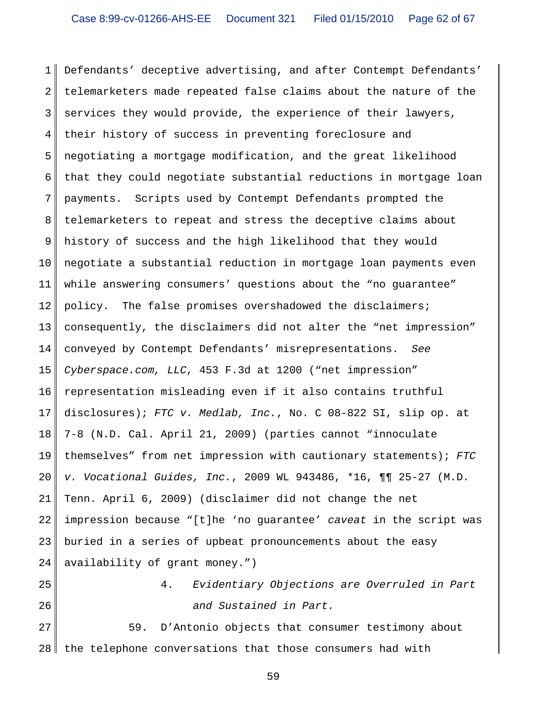1 2 3 4 5 6 7 8 9 10 11 12 13 14 15 16 17 18 19 20 21 22 23 24 Defendants' deceptive advertising, and after Contempt Defendants' telemarketers made repeated false claims about the nature of the services they would provide, the experience of their lawyers, their history of success in preventing foreclosure and negotiating a mortgage modification, and the great likelihood that they could negotiate substantial reductions in mortgage loan payments. Scripts used by Contempt Defendants prompted the telemarketers to repeat and stress the deceptive claims about history of success and the high likelihood that they would negotiate a substantial reduction in mortgage loan payments even while answering consumers' questions about the "no guarantee" policy. The false promises overshadowed the disclaimers; consequently, the disclaimers did not alter the "net impression" conveyed by Contempt Defendants' misrepresentations. *See Cyberspace.com, LLC*, 453 F.3d at 1200 ("net impression" representation misleading even if it also contains truthful disclosures); *FTC v. Medlab, Inc.*, No. C 08-822 SI, slip op. at 7-8 (N.D. Cal. April 21, 2009) (parties cannot "innoculate themselves" from net impression with cautionary statements); *FTC v. Vocational Guides, Inc.*, 2009 WL 943486, \*16, ¶¶ 25-27 (M.D. Tenn. April 6, 2009) (disclaimer did not change the net impression because "[t]he 'no guarantee' *caveat* in the script was buried in a series of upbeat pronouncements about the easy availability of grant money.")

25

26

4. *Evidentiary Objections are Overruled in Part and Sustained in Part.*

27 28 59. D'Antonio objects that consumer testimony about the telephone conversations that those consumers had with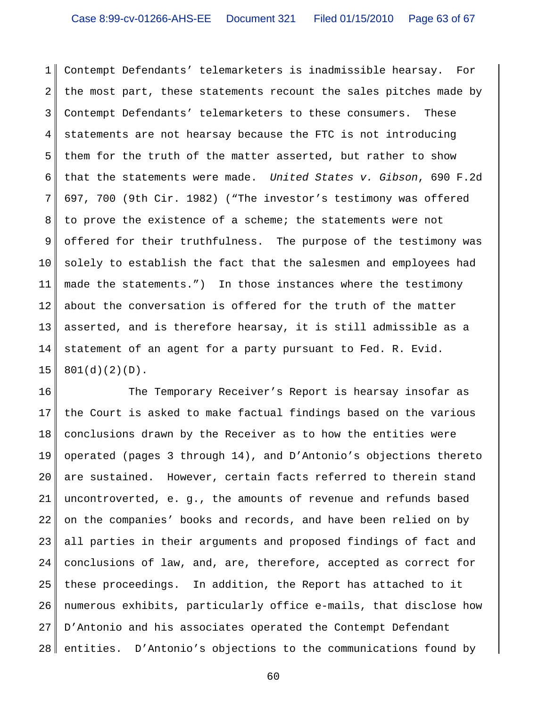1 2 3 4 5 6 7 8 9 10 11 12 13 14 15 Contempt Defendants' telemarketers is inadmissible hearsay. For the most part, these statements recount the sales pitches made by Contempt Defendants' telemarketers to these consumers. These statements are not hearsay because the FTC is not introducing them for the truth of the matter asserted, but rather to show that the statements were made. *United States v. Gibson*, 690 F.2d 697, 700 (9th Cir. 1982) ("The investor's testimony was offered to prove the existence of a scheme; the statements were not offered for their truthfulness. The purpose of the testimony was solely to establish the fact that the salesmen and employees had made the statements.") In those instances where the testimony about the conversation is offered for the truth of the matter asserted, and is therefore hearsay, it is still admissible as a statement of an agent for a party pursuant to Fed. R. Evid. 801(d)(2)(D).

16 17 18 19 20 21 22 23 24 25 26 27 28 The Temporary Receiver's Report is hearsay insofar as the Court is asked to make factual findings based on the various conclusions drawn by the Receiver as to how the entities were operated (pages 3 through 14), and D'Antonio's objections thereto are sustained. However, certain facts referred to therein stand uncontroverted, e. g., the amounts of revenue and refunds based on the companies' books and records, and have been relied on by all parties in their arguments and proposed findings of fact and conclusions of law, and, are, therefore, accepted as correct for these proceedings. In addition, the Report has attached to it numerous exhibits, particularly office e-mails, that disclose how D'Antonio and his associates operated the Contempt Defendant entities. D'Antonio's objections to the communications found by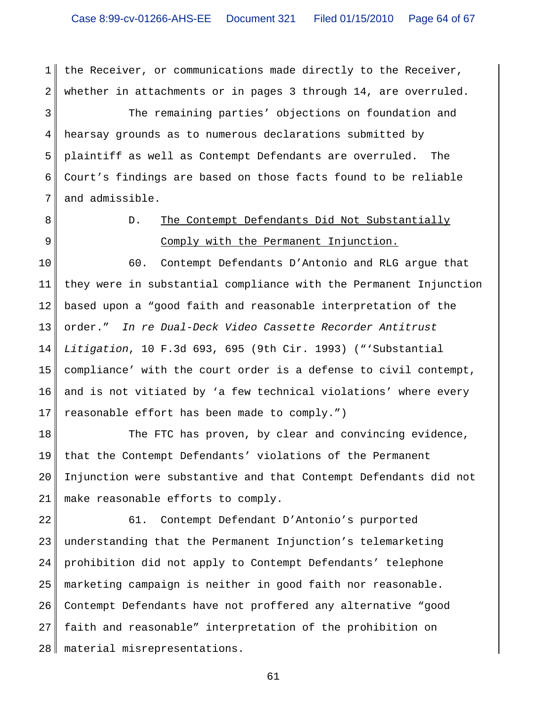1 2 the Receiver, or communications made directly to the Receiver, whether in attachments or in pages 3 through 14, are overruled.

3 4 5 6 7 The remaining parties' objections on foundation and hearsay grounds as to numerous declarations submitted by plaintiff as well as Contempt Defendants are overruled. The Court's findings are based on those facts found to be reliable and admissible.

- 8
- 9

### D. The Contempt Defendants Did Not Substantially Comply with the Permanent Injunction.

10 11 12 13 14 15 16 17 60. Contempt Defendants D'Antonio and RLG argue that they were in substantial compliance with the Permanent Injunction based upon a "good faith and reasonable interpretation of the order." *In re Dual-Deck Video Cassette Recorder Antitrust Litigation*, 10 F.3d 693, 695 (9th Cir. 1993) ("'Substantial compliance' with the court order is a defense to civil contempt, and is not vitiated by 'a few technical violations' where every reasonable effort has been made to comply.")

18 19 20 21 The FTC has proven, by clear and convincing evidence, that the Contempt Defendants' violations of the Permanent Injunction were substantive and that Contempt Defendants did not make reasonable efforts to comply.

22 23 24 25 26 27 28 61. Contempt Defendant D'Antonio's purported understanding that the Permanent Injunction's telemarketing prohibition did not apply to Contempt Defendants' telephone marketing campaign is neither in good faith nor reasonable. Contempt Defendants have not proffered any alternative "good faith and reasonable" interpretation of the prohibition on material misrepresentations.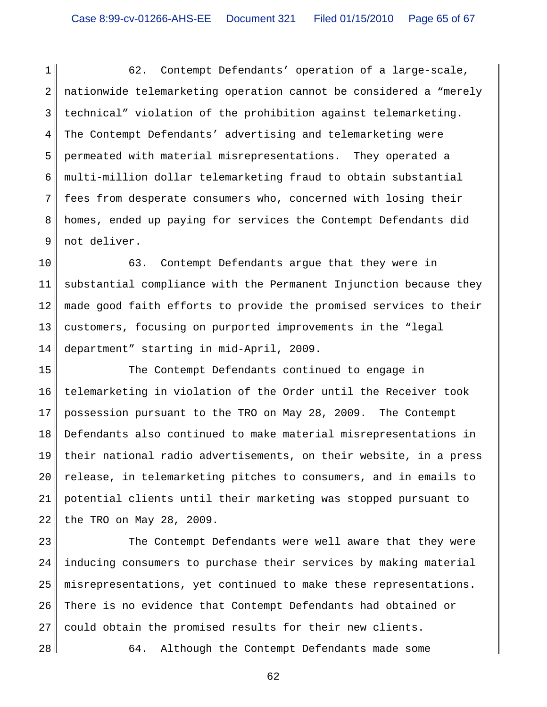1 2 3 4 5 6 7 8 9 62. Contempt Defendants' operation of a large-scale, nationwide telemarketing operation cannot be considered a "merely technical" violation of the prohibition against telemarketing. The Contempt Defendants' advertising and telemarketing were permeated with material misrepresentations. They operated a multi-million dollar telemarketing fraud to obtain substantial fees from desperate consumers who, concerned with losing their homes, ended up paying for services the Contempt Defendants did not deliver.

10 11 12 13 14 63. Contempt Defendants argue that they were in substantial compliance with the Permanent Injunction because they made good faith efforts to provide the promised services to their customers, focusing on purported improvements in the "legal department" starting in mid-April, 2009.

15 16 17 18 19 20 21 22 The Contempt Defendants continued to engage in telemarketing in violation of the Order until the Receiver took possession pursuant to the TRO on May 28, 2009. The Contempt Defendants also continued to make material misrepresentations in their national radio advertisements, on their website, in a press release, in telemarketing pitches to consumers, and in emails to potential clients until their marketing was stopped pursuant to the TRO on May 28, 2009.

23 24 25 26 27 The Contempt Defendants were well aware that they were inducing consumers to purchase their services by making material misrepresentations, yet continued to make these representations. There is no evidence that Contempt Defendants had obtained or could obtain the promised results for their new clients.

28

64. Although the Contempt Defendants made some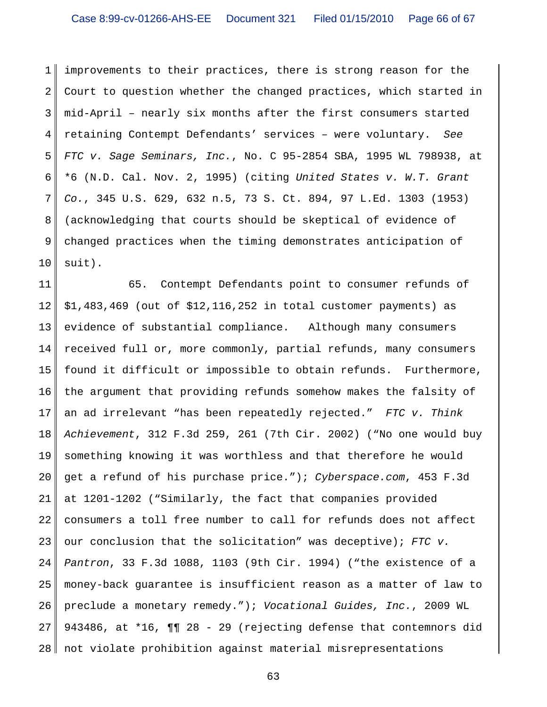1 2 3 4 5 6 7 8 9 10 improvements to their practices, there is strong reason for the Court to question whether the changed practices, which started in mid-April – nearly six months after the first consumers started retaining Contempt Defendants' services – were voluntary. *See FTC v. Sage Seminars, Inc.*, No. C 95-2854 SBA, 1995 WL 798938, at \*6 (N.D. Cal. Nov. 2, 1995) (citing *United States v. W.T. Grant Co.*, 345 U.S. 629, 632 n.5, 73 S. Ct. 894, 97 L.Ed. 1303 (1953) (acknowledging that courts should be skeptical of evidence of changed practices when the timing demonstrates anticipation of suit).

11 12 13 14 15 16 17 18 19 20 21 22 23 24 25 26 27 28 65. Contempt Defendants point to consumer refunds of \$1,483,469 (out of \$12,116,252 in total customer payments) as evidence of substantial compliance. Although many consumers received full or, more commonly, partial refunds, many consumers found it difficult or impossible to obtain refunds. Furthermore, the argument that providing refunds somehow makes the falsity of an ad irrelevant "has been repeatedly rejected." *FTC v. Think Achievement*, 312 F.3d 259, 261 (7th Cir. 2002) ("No one would buy something knowing it was worthless and that therefore he would get a refund of his purchase price."); *Cyberspace.com*, 453 F.3d at 1201-1202 ("Similarly, the fact that companies provided consumers a toll free number to call for refunds does not affect our conclusion that the solicitation" was deceptive); *FTC v. Pantron*, 33 F.3d 1088, 1103 (9th Cir. 1994) ("the existence of a money-back guarantee is insufficient reason as a matter of law to preclude a monetary remedy."); *Vocational Guides, Inc.*, 2009 WL 943486, at \*16, ¶¶ 28 - 29 (rejecting defense that contemnors did not violate prohibition against material misrepresentations